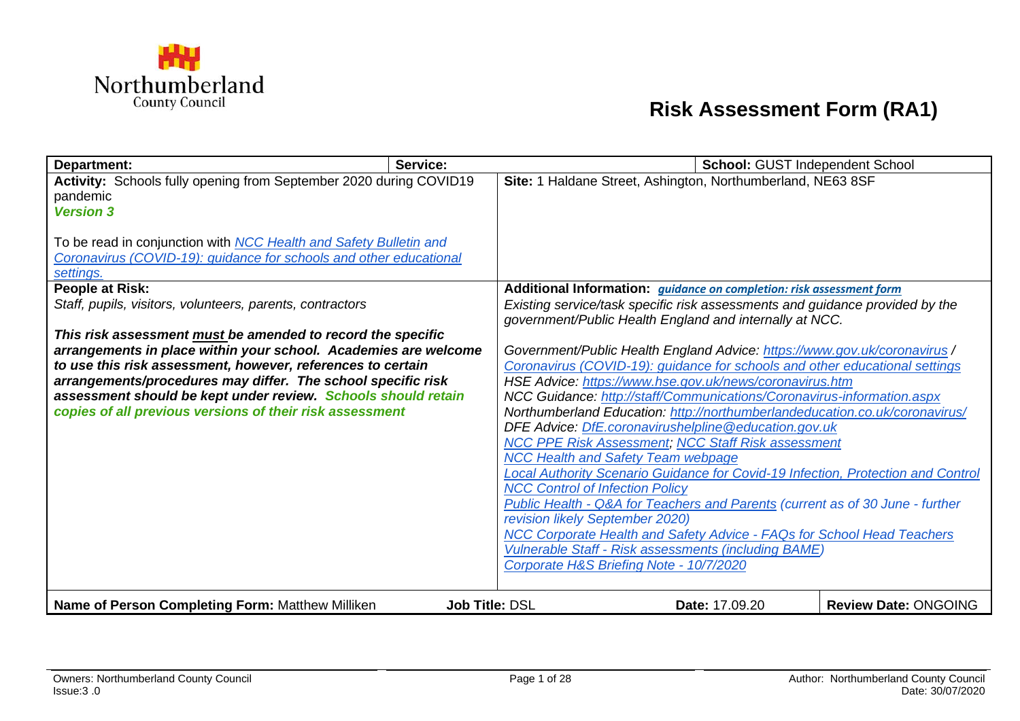

## <span id="page-0-3"></span><span id="page-0-2"></span><span id="page-0-0"></span>**Risk Assessment Form (RA1)**

<span id="page-0-1"></span>

| Department:                                                                                                                    | Service:              |                                                                                                                                                          | <b>School: GUST Independent School</b> |                             |  |  |
|--------------------------------------------------------------------------------------------------------------------------------|-----------------------|----------------------------------------------------------------------------------------------------------------------------------------------------------|----------------------------------------|-----------------------------|--|--|
| Activity: Schools fully opening from September 2020 during COVID19                                                             |                       | Site: 1 Haldane Street, Ashington, Northumberland, NE63 8SF                                                                                              |                                        |                             |  |  |
| pandemic                                                                                                                       |                       |                                                                                                                                                          |                                        |                             |  |  |
| <b>Version 3</b>                                                                                                               |                       |                                                                                                                                                          |                                        |                             |  |  |
|                                                                                                                                |                       |                                                                                                                                                          |                                        |                             |  |  |
| To be read in conjunction with NCC Health and Safety Bulletin and                                                              |                       |                                                                                                                                                          |                                        |                             |  |  |
| Coronavirus (COVID-19): guidance for schools and other educational                                                             |                       |                                                                                                                                                          |                                        |                             |  |  |
| settings.                                                                                                                      |                       |                                                                                                                                                          |                                        |                             |  |  |
| People at Risk:                                                                                                                |                       | Additional Information: <i>guidance on completion: risk assessment form</i>                                                                              |                                        |                             |  |  |
| Staff, pupils, visitors, volunteers, parents, contractors                                                                      |                       | Existing service/task specific risk assessments and guidance provided by the                                                                             |                                        |                             |  |  |
|                                                                                                                                |                       | government/Public Health England and internally at NCC.                                                                                                  |                                        |                             |  |  |
| This risk assessment must be amended to record the specific<br>arrangements in place within your school. Academies are welcome |                       |                                                                                                                                                          |                                        |                             |  |  |
| to use this risk assessment, however, references to certain                                                                    |                       | Government/Public Health England Advice: https://www.gov.uk/coronavirus /<br>Coronavirus (COVID-19): guidance for schools and other educational settings |                                        |                             |  |  |
| arrangements/procedures may differ. The school specific risk                                                                   |                       | HSE Advice: https://www.hse.gov.uk/news/coronavirus.htm                                                                                                  |                                        |                             |  |  |
| assessment should be kept under review. Schools should retain                                                                  |                       | NCC Guidance: http://staff/Communications/Coronavirus-information.aspx                                                                                   |                                        |                             |  |  |
| copies of all previous versions of their risk assessment                                                                       |                       | Northumberland Education: http://northumberlandeducation.co.uk/coronavirus/                                                                              |                                        |                             |  |  |
|                                                                                                                                |                       | DFE Advice: DfE.coronavirushelpline@education.gov.uk                                                                                                     |                                        |                             |  |  |
|                                                                                                                                |                       | <b>NCC PPE Risk Assessment, NCC Staff Risk assessment</b>                                                                                                |                                        |                             |  |  |
|                                                                                                                                |                       | <b>NCC Health and Safety Team webpage</b>                                                                                                                |                                        |                             |  |  |
|                                                                                                                                |                       | Local Authority Scenario Guidance for Covid-19 Infection, Protection and Control                                                                         |                                        |                             |  |  |
|                                                                                                                                |                       | <b>NCC Control of Infection Policy</b>                                                                                                                   |                                        |                             |  |  |
|                                                                                                                                |                       | Public Health - Q&A for Teachers and Parents (current as of 30 June - further                                                                            |                                        |                             |  |  |
|                                                                                                                                |                       | revision likely September 2020)                                                                                                                          |                                        |                             |  |  |
|                                                                                                                                |                       | NCC Corporate Health and Safety Advice - FAQs for School Head Teachers                                                                                   |                                        |                             |  |  |
|                                                                                                                                |                       | <b>Vulnerable Staff - Risk assessments (including BAME)</b>                                                                                              |                                        |                             |  |  |
|                                                                                                                                |                       | Corporate H&S Briefing Note - 10/7/2020                                                                                                                  |                                        |                             |  |  |
|                                                                                                                                |                       |                                                                                                                                                          |                                        |                             |  |  |
| Name of Person Completing Form: Matthew Milliken                                                                               | <b>Job Title: DSL</b> |                                                                                                                                                          | Date: 17.09.20                         | <b>Review Date: ONGOING</b> |  |  |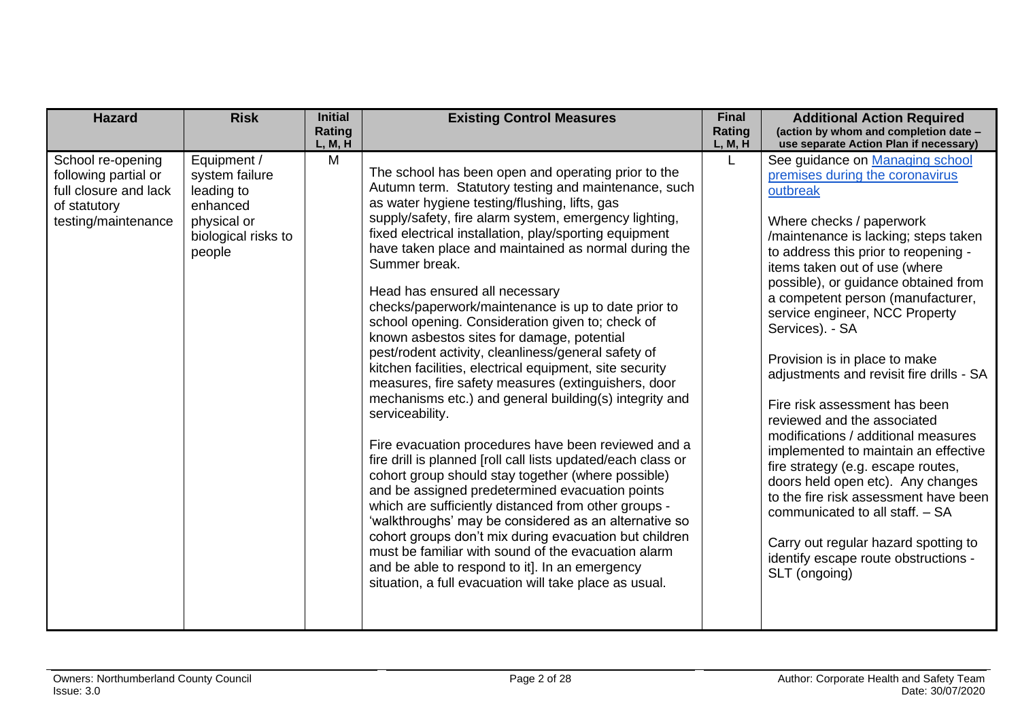<span id="page-1-0"></span>

| Equipment /<br>M<br>School re-opening<br>The school has been open and operating prior to the<br>premises during the coronavirus<br>following partial or<br>system failure<br>Autumn term. Statutory testing and maintenance, such<br>full closure and lack<br>leading to<br>outbreak<br>as water hygiene testing/flushing, lifts, gas<br>enhanced<br>of statutory<br>supply/safety, fire alarm system, emergency lighting,<br>testing/maintenance<br>Where checks / paperwork<br>physical or<br>fixed electrical installation, play/sporting equipment<br>biological risks to<br>have taken place and maintained as normal during the<br>people<br>Summer break.<br>items taken out of use (where                                                                                                                                                                                                                                                                                                                                                                                                                                                                                                                                                                           | <b>Hazard</b> | <b>Risk</b> | <b>Initial</b><br><b>Rating</b><br>L, M, H | <b>Existing Control Measures</b> | <b>Final</b><br>Rating<br>L, M, H | <b>Additional Action Required</b><br>(action by whom and completion date -<br>use separate Action Plan if necessary)                                                                                                                                                                                                                                                                                                                                                                  |
|-----------------------------------------------------------------------------------------------------------------------------------------------------------------------------------------------------------------------------------------------------------------------------------------------------------------------------------------------------------------------------------------------------------------------------------------------------------------------------------------------------------------------------------------------------------------------------------------------------------------------------------------------------------------------------------------------------------------------------------------------------------------------------------------------------------------------------------------------------------------------------------------------------------------------------------------------------------------------------------------------------------------------------------------------------------------------------------------------------------------------------------------------------------------------------------------------------------------------------------------------------------------------------|---------------|-------------|--------------------------------------------|----------------------------------|-----------------------------------|---------------------------------------------------------------------------------------------------------------------------------------------------------------------------------------------------------------------------------------------------------------------------------------------------------------------------------------------------------------------------------------------------------------------------------------------------------------------------------------|
| Head has ensured all necessary<br>checks/paperwork/maintenance is up to date prior to<br>service engineer, NCC Property<br>school opening. Consideration given to; check of<br>Services). - SA<br>known asbestos sites for damage, potential<br>pest/rodent activity, cleanliness/general safety of<br>Provision is in place to make<br>kitchen facilities, electrical equipment, site security<br>measures, fire safety measures (extinguishers, door<br>mechanisms etc.) and general building(s) integrity and<br>Fire risk assessment has been<br>serviceability.<br>reviewed and the associated<br>Fire evacuation procedures have been reviewed and a<br>fire drill is planned [roll call lists updated/each class or<br>fire strategy (e.g. escape routes,<br>cohort group should stay together (where possible)<br>and be assigned predetermined evacuation points<br>which are sufficiently distanced from other groups -<br>communicated to all staff. - SA<br>'walkthroughs' may be considered as an alternative so<br>cohort groups don't mix during evacuation but children<br>must be familiar with sound of the evacuation alarm<br>and be able to respond to it]. In an emergency<br>SLT (ongoing)<br>situation, a full evacuation will take place as usual. |               |             |                                            |                                  |                                   | See guidance on Managing school<br>/maintenance is lacking; steps taken<br>to address this prior to reopening -<br>possible), or guidance obtained from<br>a competent person (manufacturer,<br>adjustments and revisit fire drills - SA<br>modifications / additional measures<br>implemented to maintain an effective<br>doors held open etc). Any changes<br>to the fire risk assessment have been<br>Carry out regular hazard spotting to<br>identify escape route obstructions - |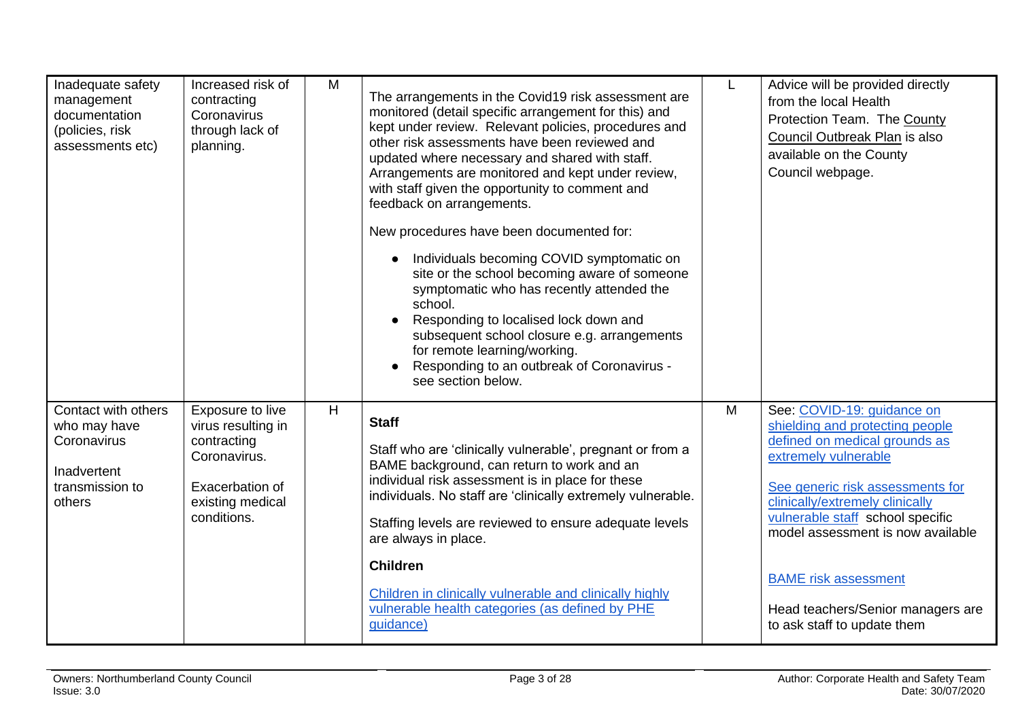<span id="page-2-1"></span><span id="page-2-0"></span>

| Inadequate safety<br>management<br>documentation<br>(policies, risk<br>assessments etc)        | Increased risk of<br>contracting<br>Coronavirus<br>through lack of<br>planning.                                             | M | The arrangements in the Covid19 risk assessment are<br>monitored (detail specific arrangement for this) and<br>kept under review. Relevant policies, procedures and<br>other risk assessments have been reviewed and<br>updated where necessary and shared with staff.<br>Arrangements are monitored and kept under review,<br>with staff given the opportunity to comment and<br>feedback on arrangements.<br>New procedures have been documented for:<br>Individuals becoming COVID symptomatic on<br>site or the school becoming aware of someone<br>symptomatic who has recently attended the<br>school.<br>Responding to localised lock down and<br>subsequent school closure e.g. arrangements<br>for remote learning/working.<br>Responding to an outbreak of Coronavirus -<br>see section below. |   | Advice will be provided directly<br>from the local Health<br>Protection Team. The County<br>Council Outbreak Plan is also<br>available on the County<br>Council webpage.                                                                                                                                                                                                  |
|------------------------------------------------------------------------------------------------|-----------------------------------------------------------------------------------------------------------------------------|---|----------------------------------------------------------------------------------------------------------------------------------------------------------------------------------------------------------------------------------------------------------------------------------------------------------------------------------------------------------------------------------------------------------------------------------------------------------------------------------------------------------------------------------------------------------------------------------------------------------------------------------------------------------------------------------------------------------------------------------------------------------------------------------------------------------|---|---------------------------------------------------------------------------------------------------------------------------------------------------------------------------------------------------------------------------------------------------------------------------------------------------------------------------------------------------------------------------|
| Contact with others<br>who may have<br>Coronavirus<br>Inadvertent<br>transmission to<br>others | Exposure to live<br>virus resulting in<br>contracting<br>Coronavirus.<br>Exacerbation of<br>existing medical<br>conditions. | H | <b>Staff</b><br>Staff who are 'clinically vulnerable', pregnant or from a<br>BAME background, can return to work and an<br>individual risk assessment is in place for these<br>individuals. No staff are 'clinically extremely vulnerable.<br>Staffing levels are reviewed to ensure adequate levels<br>are always in place.<br><b>Children</b><br>Children in clinically vulnerable and clinically highly<br>vulnerable health categories (as defined by PHE<br>quidance)                                                                                                                                                                                                                                                                                                                               | M | See: COVID-19: guidance on<br>shielding and protecting people<br>defined on medical grounds as<br>extremely vulnerable<br>See generic risk assessments for<br>clinically/extremely clinically<br>vulnerable staff school specific<br>model assessment is now available<br><b>BAME</b> risk assessment<br>Head teachers/Senior managers are<br>to ask staff to update them |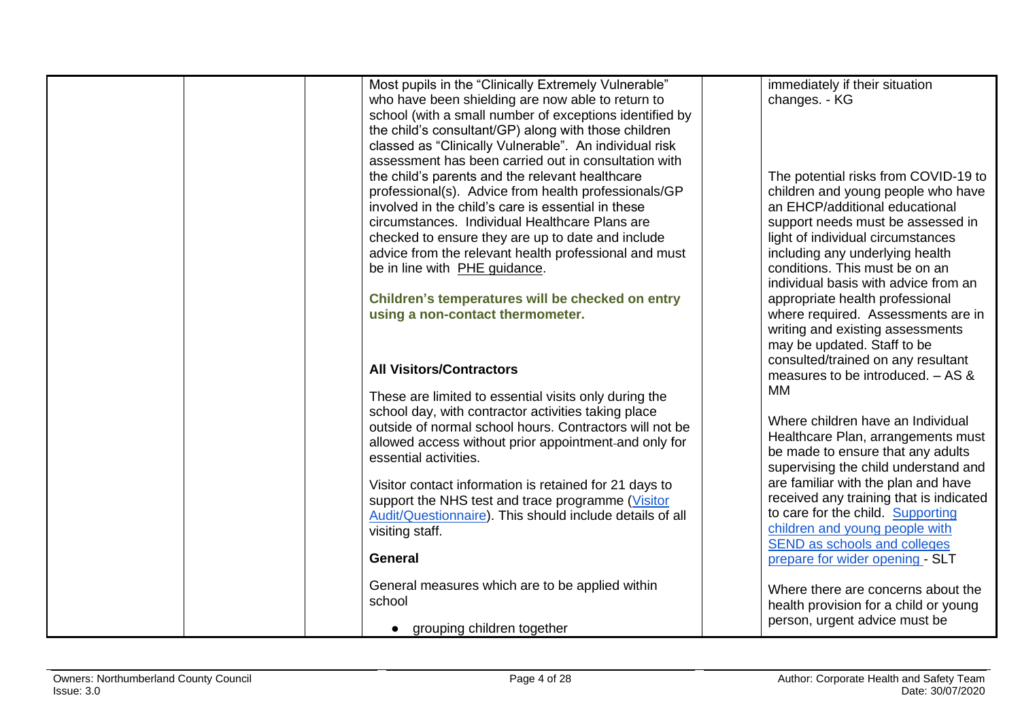| Most pupils in the "Clinically Extremely Vulnerable"     | immediately if their situation          |
|----------------------------------------------------------|-----------------------------------------|
| who have been shielding are now able to return to        | changes. - KG                           |
| school (with a small number of exceptions identified by  |                                         |
| the child's consultant/GP) along with those children     |                                         |
| classed as "Clinically Vulnerable". An individual risk   |                                         |
| assessment has been carried out in consultation with     |                                         |
| the child's parents and the relevant healthcare          | The potential risks from COVID-19 to    |
| professional(s). Advice from health professionals/GP     | children and young people who have      |
| involved in the child's care is essential in these       | an EHCP/additional educational          |
| circumstances. Individual Healthcare Plans are           | support needs must be assessed in       |
| checked to ensure they are up to date and include        | light of individual circumstances       |
| advice from the relevant health professional and must    | including any underlying health         |
| be in line with PHE guidance.                            | conditions. This must be on an          |
|                                                          | individual basis with advice from an    |
| Children's temperatures will be checked on entry         | appropriate health professional         |
| using a non-contact thermometer.                         | where required. Assessments are in      |
|                                                          | writing and existing assessments        |
|                                                          | may be updated. Staff to be             |
| <b>All Visitors/Contractors</b>                          | consulted/trained on any resultant      |
|                                                          | measures to be introduced. $-$ AS &     |
| These are limited to essential visits only during the    | МM                                      |
| school day, with contractor activities taking place      |                                         |
| outside of normal school hours. Contractors will not be  | Where children have an Individual       |
| allowed access without prior appointment-and only for    | Healthcare Plan, arrangements must      |
| essential activities.                                    | be made to ensure that any adults       |
|                                                          | supervising the child understand and    |
| Visitor contact information is retained for 21 days to   | are familiar with the plan and have     |
| support the NHS test and trace programme (Visitor        | received any training that is indicated |
| Audit/Questionnaire). This should include details of all | to care for the child. Supporting       |
| visiting staff.                                          | children and young people with          |
|                                                          | SEND as schools and colleges            |
| General                                                  | prepare for wider opening - SLT         |
| General measures which are to be applied within          |                                         |
| school                                                   | Where there are concerns about the      |
|                                                          | health provision for a child or young   |
| • grouping children together                             | person, urgent advice must be           |
|                                                          |                                         |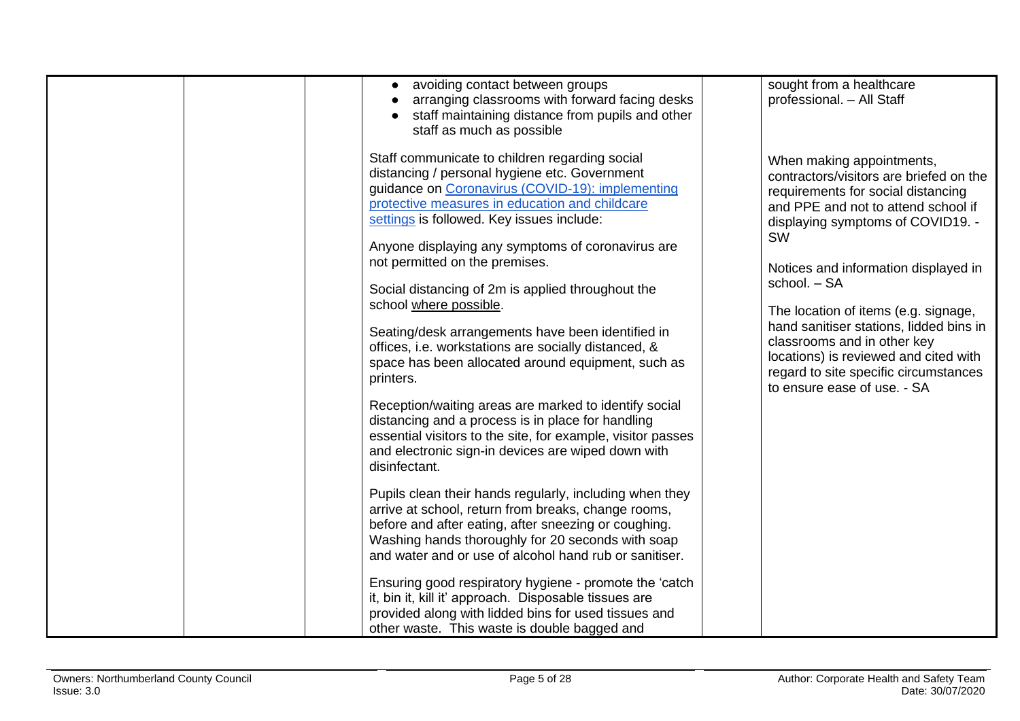| avoiding contact between groups<br>arranging classrooms with forward facing desks                                                                                                                                                                                                                                                                                                                                                                                                                                                                                                                                                                                                                                                                                                     | sought from a healthcare<br>professional. - All Staff                                                                                                                                                                                                                                                                                                                                                                                                                                          |
|---------------------------------------------------------------------------------------------------------------------------------------------------------------------------------------------------------------------------------------------------------------------------------------------------------------------------------------------------------------------------------------------------------------------------------------------------------------------------------------------------------------------------------------------------------------------------------------------------------------------------------------------------------------------------------------------------------------------------------------------------------------------------------------|------------------------------------------------------------------------------------------------------------------------------------------------------------------------------------------------------------------------------------------------------------------------------------------------------------------------------------------------------------------------------------------------------------------------------------------------------------------------------------------------|
| staff maintaining distance from pupils and other<br>staff as much as possible                                                                                                                                                                                                                                                                                                                                                                                                                                                                                                                                                                                                                                                                                                         |                                                                                                                                                                                                                                                                                                                                                                                                                                                                                                |
| Staff communicate to children regarding social<br>distancing / personal hygiene etc. Government<br>guidance on Coronavirus (COVID-19): implementing<br>protective measures in education and childcare<br>settings is followed. Key issues include:<br>Anyone displaying any symptoms of coronavirus are<br>not permitted on the premises.<br>Social distancing of 2m is applied throughout the<br>school where possible.<br>Seating/desk arrangements have been identified in<br>offices, i.e. workstations are socially distanced, &<br>space has been allocated around equipment, such as<br>printers.<br>Reception/waiting areas are marked to identify social<br>distancing and a process is in place for handling<br>essential visitors to the site, for example, visitor passes | When making appointments,<br>contractors/visitors are briefed on the<br>requirements for social distancing<br>and PPE and not to attend school if<br>displaying symptoms of COVID19. -<br><b>SW</b><br>Notices and information displayed in<br>school. - SA<br>The location of items (e.g. signage,<br>hand sanitiser stations, lidded bins in<br>classrooms and in other key<br>locations) is reviewed and cited with<br>regard to site specific circumstances<br>to ensure ease of use. - SA |
| and electronic sign-in devices are wiped down with<br>disinfectant.                                                                                                                                                                                                                                                                                                                                                                                                                                                                                                                                                                                                                                                                                                                   |                                                                                                                                                                                                                                                                                                                                                                                                                                                                                                |
| Pupils clean their hands regularly, including when they<br>arrive at school, return from breaks, change rooms,<br>before and after eating, after sneezing or coughing.<br>Washing hands thoroughly for 20 seconds with soap<br>and water and or use of alcohol hand rub or sanitiser.                                                                                                                                                                                                                                                                                                                                                                                                                                                                                                 |                                                                                                                                                                                                                                                                                                                                                                                                                                                                                                |
| Ensuring good respiratory hygiene - promote the 'catch<br>it, bin it, kill it' approach. Disposable tissues are<br>provided along with lidded bins for used tissues and<br>other waste. This waste is double bagged and                                                                                                                                                                                                                                                                                                                                                                                                                                                                                                                                                               |                                                                                                                                                                                                                                                                                                                                                                                                                                                                                                |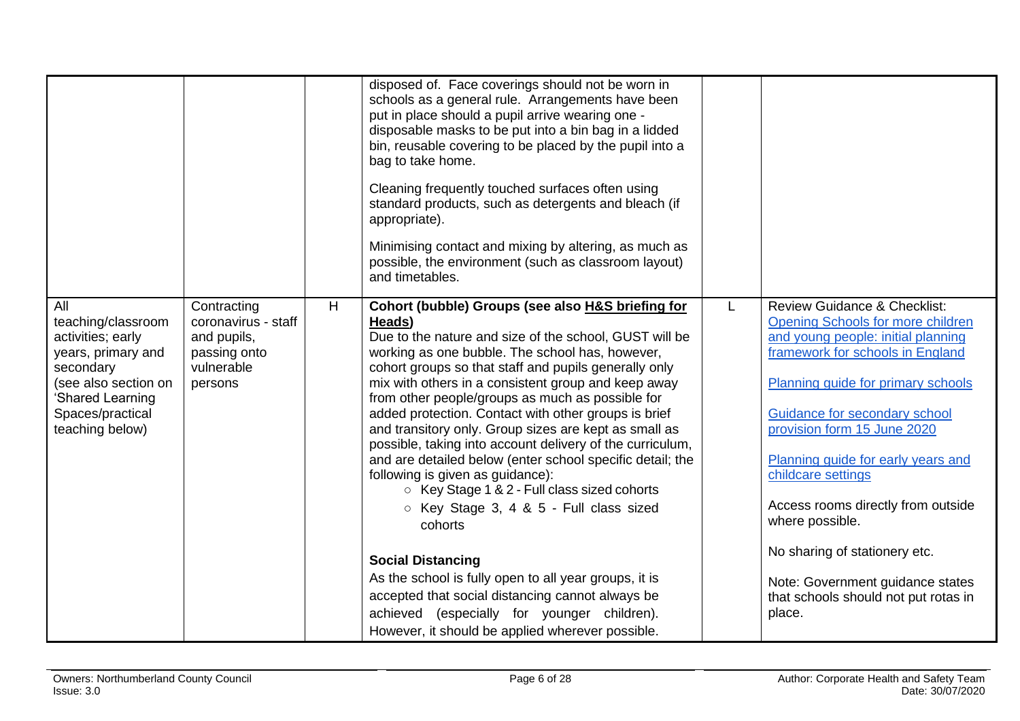|                                                                                                                                                                            |                                                                                            |   | disposed of. Face coverings should not be worn in<br>schools as a general rule. Arrangements have been<br>put in place should a pupil arrive wearing one -<br>disposable masks to be put into a bin bag in a lidded<br>bin, reusable covering to be placed by the pupil into a<br>bag to take home.<br>Cleaning frequently touched surfaces often using<br>standard products, such as detergents and bleach (if<br>appropriate).<br>Minimising contact and mixing by altering, as much as<br>possible, the environment (such as classroom layout)<br>and timetables.                                                                                                                                                                                                                                                                                                                                                                                                          |   |                                                                                                                                                                                                                                                                                                                                                                                                                                                                                                                 |
|----------------------------------------------------------------------------------------------------------------------------------------------------------------------------|--------------------------------------------------------------------------------------------|---|-------------------------------------------------------------------------------------------------------------------------------------------------------------------------------------------------------------------------------------------------------------------------------------------------------------------------------------------------------------------------------------------------------------------------------------------------------------------------------------------------------------------------------------------------------------------------------------------------------------------------------------------------------------------------------------------------------------------------------------------------------------------------------------------------------------------------------------------------------------------------------------------------------------------------------------------------------------------------------|---|-----------------------------------------------------------------------------------------------------------------------------------------------------------------------------------------------------------------------------------------------------------------------------------------------------------------------------------------------------------------------------------------------------------------------------------------------------------------------------------------------------------------|
| All<br>teaching/classroom<br>activities; early<br>years, primary and<br>secondary<br>(see also section on<br><b>Shared Learning</b><br>Spaces/practical<br>teaching below) | Contracting<br>coronavirus - staff<br>and pupils,<br>passing onto<br>vulnerable<br>persons | H | Cohort (bubble) Groups (see also H&S briefing for<br>Heads)<br>Due to the nature and size of the school, GUST will be<br>working as one bubble. The school has, however,<br>cohort groups so that staff and pupils generally only<br>mix with others in a consistent group and keep away<br>from other people/groups as much as possible for<br>added protection. Contact with other groups is brief<br>and transitory only. Group sizes are kept as small as<br>possible, taking into account delivery of the curriculum,<br>and are detailed below (enter school specific detail; the<br>following is given as guidance):<br>○ Key Stage 1 & 2 - Full class sized cohorts<br>○ Key Stage 3, 4 & 5 - Full class sized<br>cohorts<br><b>Social Distancing</b><br>As the school is fully open to all year groups, it is<br>accepted that social distancing cannot always be<br>achieved (especially for younger children).<br>However, it should be applied wherever possible. | L | <b>Review Guidance &amp; Checklist:</b><br><b>Opening Schools for more children</b><br>and young people: initial planning<br>framework for schools in England<br>Planning guide for primary schools<br>Guidance for secondary school<br>provision form 15 June 2020<br>Planning guide for early years and<br>childcare settings<br>Access rooms directly from outside<br>where possible.<br>No sharing of stationery etc.<br>Note: Government guidance states<br>that schools should not put rotas in<br>place. |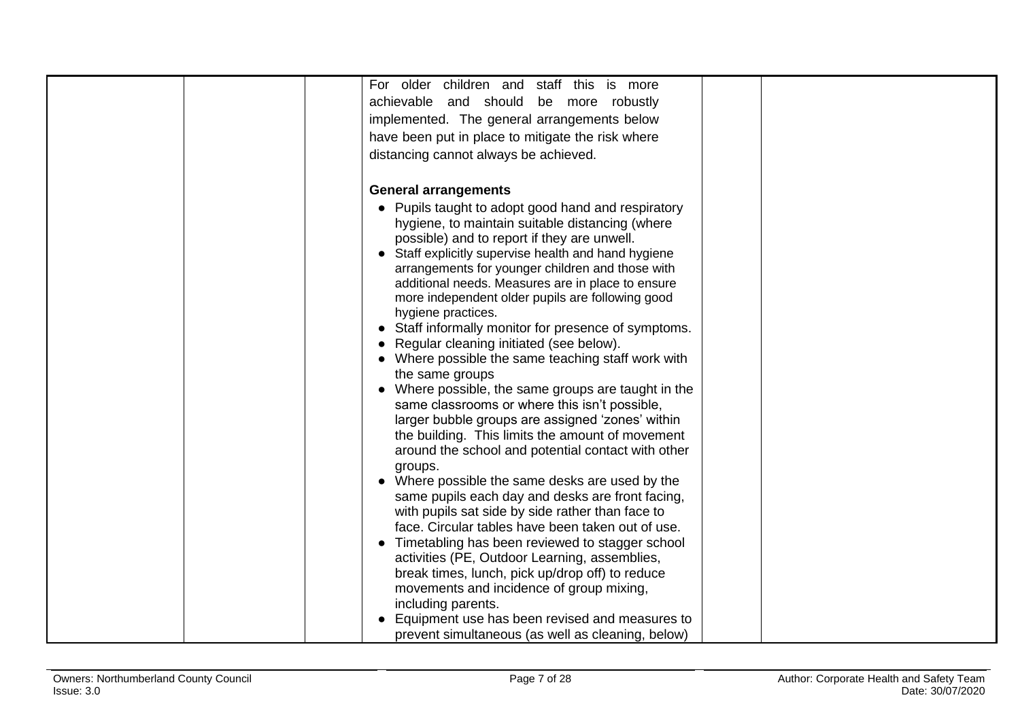|                             | For older children and staff this is more<br>achievable and should be more robustly<br>implemented. The general arrangements below<br>have been put in place to mitigate the risk where |
|-----------------------------|-----------------------------------------------------------------------------------------------------------------------------------------------------------------------------------------|
|                             | distancing cannot always be achieved.                                                                                                                                                   |
|                             |                                                                                                                                                                                         |
| <b>General arrangements</b> |                                                                                                                                                                                         |
|                             | • Pupils taught to adopt good hand and respiratory                                                                                                                                      |
|                             | hygiene, to maintain suitable distancing (where<br>possible) and to report if they are unwell.                                                                                          |
|                             | • Staff explicitly supervise health and hand hygiene                                                                                                                                    |
|                             | arrangements for younger children and those with                                                                                                                                        |
|                             | additional needs. Measures are in place to ensure                                                                                                                                       |
|                             | more independent older pupils are following good                                                                                                                                        |
| hygiene practices.          | • Staff informally monitor for presence of symptoms.                                                                                                                                    |
|                             | Regular cleaning initiated (see below).                                                                                                                                                 |
|                             | • Where possible the same teaching staff work with                                                                                                                                      |
| the same groups             |                                                                                                                                                                                         |
|                             | • Where possible, the same groups are taught in the                                                                                                                                     |
|                             | same classrooms or where this isn't possible,                                                                                                                                           |
|                             | larger bubble groups are assigned 'zones' within                                                                                                                                        |
|                             | the building. This limits the amount of movement                                                                                                                                        |
| groups.                     | around the school and potential contact with other                                                                                                                                      |
|                             | • Where possible the same desks are used by the                                                                                                                                         |
|                             | same pupils each day and desks are front facing,                                                                                                                                        |
|                             | with pupils sat side by side rather than face to                                                                                                                                        |
|                             | face. Circular tables have been taken out of use.                                                                                                                                       |
|                             | • Timetabling has been reviewed to stagger school                                                                                                                                       |
|                             | activities (PE, Outdoor Learning, assemblies,                                                                                                                                           |
|                             | break times, lunch, pick up/drop off) to reduce                                                                                                                                         |
|                             | movements and incidence of group mixing,                                                                                                                                                |
| including parents.          | • Equipment use has been revised and measures to                                                                                                                                        |
|                             | prevent simultaneous (as well as cleaning, below)                                                                                                                                       |
|                             |                                                                                                                                                                                         |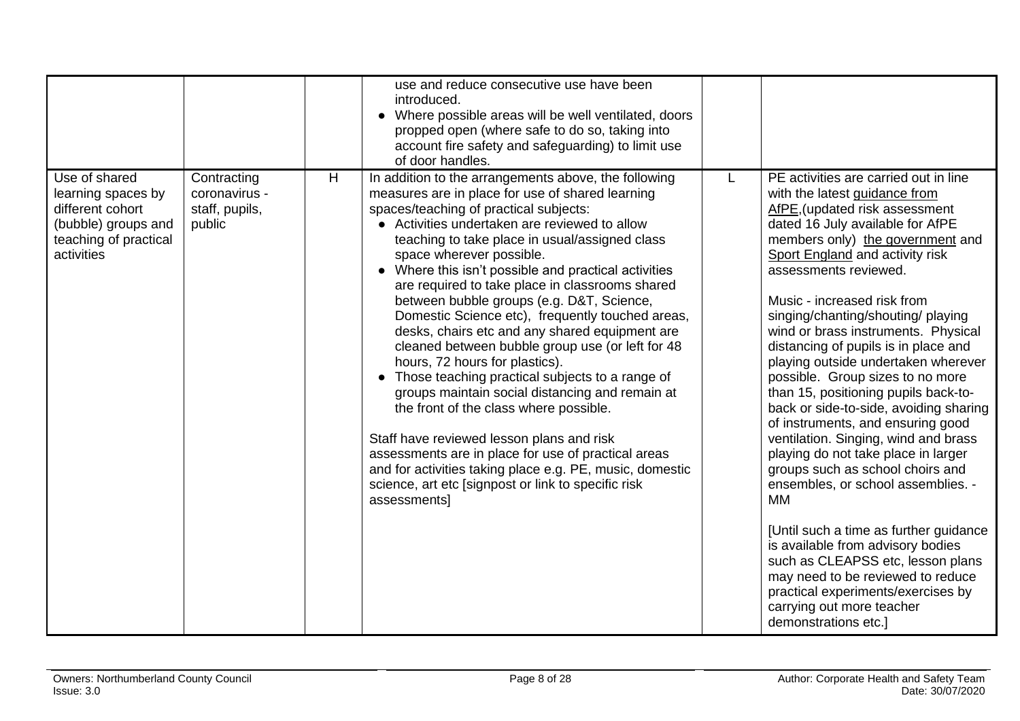<span id="page-7-0"></span>

|                                                                                                                       |                                                          |   | use and reduce consecutive use have been<br>introduced.<br>• Where possible areas will be well ventilated, doors<br>propped open (where safe to do so, taking into<br>account fire safety and safeguarding) to limit use<br>of door handles.                                                                                                                                                                                                                                                                                                                                                                                                                                                                                                                                                                                                                                                                                                                                                                                   |    |                                                                                                                                                                                                                                                                                                                                                                                                                                                                                                                                                                                                                                                                                                                                                                                                                                                                                                                                                                                                                       |
|-----------------------------------------------------------------------------------------------------------------------|----------------------------------------------------------|---|--------------------------------------------------------------------------------------------------------------------------------------------------------------------------------------------------------------------------------------------------------------------------------------------------------------------------------------------------------------------------------------------------------------------------------------------------------------------------------------------------------------------------------------------------------------------------------------------------------------------------------------------------------------------------------------------------------------------------------------------------------------------------------------------------------------------------------------------------------------------------------------------------------------------------------------------------------------------------------------------------------------------------------|----|-----------------------------------------------------------------------------------------------------------------------------------------------------------------------------------------------------------------------------------------------------------------------------------------------------------------------------------------------------------------------------------------------------------------------------------------------------------------------------------------------------------------------------------------------------------------------------------------------------------------------------------------------------------------------------------------------------------------------------------------------------------------------------------------------------------------------------------------------------------------------------------------------------------------------------------------------------------------------------------------------------------------------|
| Use of shared<br>learning spaces by<br>different cohort<br>(bubble) groups and<br>teaching of practical<br>activities | Contracting<br>coronavirus -<br>staff, pupils,<br>public | H | In addition to the arrangements above, the following<br>measures are in place for use of shared learning<br>spaces/teaching of practical subjects:<br>• Activities undertaken are reviewed to allow<br>teaching to take place in usual/assigned class<br>space wherever possible.<br>• Where this isn't possible and practical activities<br>are required to take place in classrooms shared<br>between bubble groups (e.g. D&T, Science,<br>Domestic Science etc), frequently touched areas,<br>desks, chairs etc and any shared equipment are<br>cleaned between bubble group use (or left for 48<br>hours, 72 hours for plastics).<br>• Those teaching practical subjects to a range of<br>groups maintain social distancing and remain at<br>the front of the class where possible.<br>Staff have reviewed lesson plans and risk<br>assessments are in place for use of practical areas<br>and for activities taking place e.g. PE, music, domestic<br>science, art etc [signpost or link to specific risk<br>assessments] | L. | PE activities are carried out in line<br>with the latest guidance from<br>AfPE, (updated risk assessment<br>dated 16 July available for AfPE<br>members only) the government and<br>Sport England and activity risk<br>assessments reviewed.<br>Music - increased risk from<br>singing/chanting/shouting/ playing<br>wind or brass instruments. Physical<br>distancing of pupils is in place and<br>playing outside undertaken wherever<br>possible. Group sizes to no more<br>than 15, positioning pupils back-to-<br>back or side-to-side, avoiding sharing<br>of instruments, and ensuring good<br>ventilation. Singing, wind and brass<br>playing do not take place in larger<br>groups such as school choirs and<br>ensembles, or school assemblies. -<br>МM<br>[Until such a time as further guidance<br>is available from advisory bodies<br>such as CLEAPSS etc, lesson plans<br>may need to be reviewed to reduce<br>practical experiments/exercises by<br>carrying out more teacher<br>demonstrations etc.] |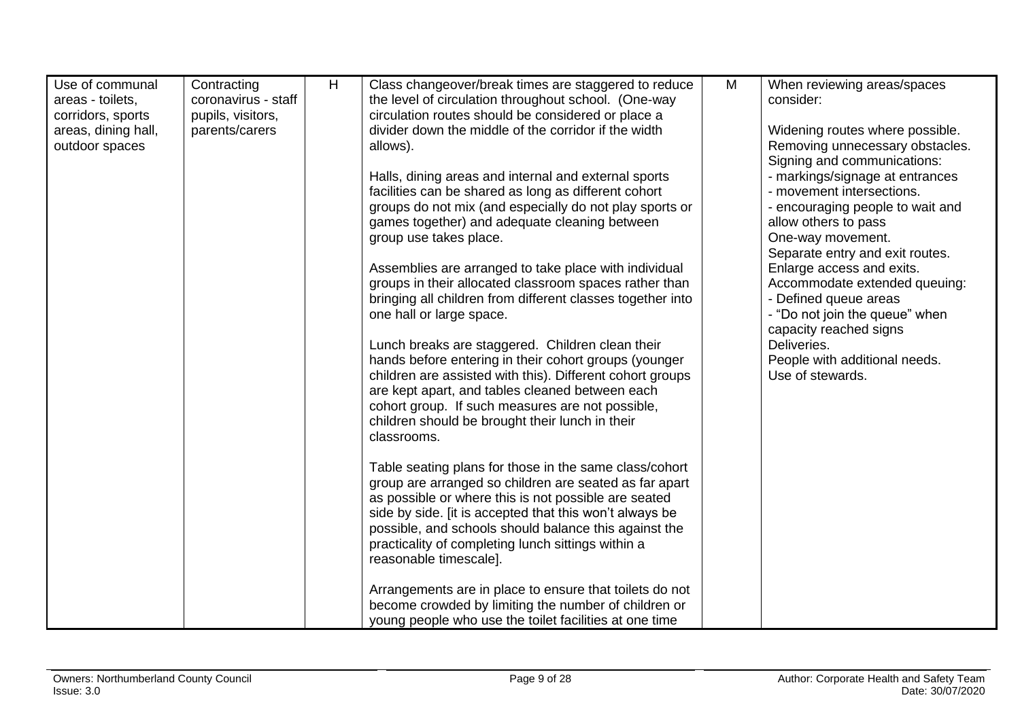<span id="page-8-0"></span>

| Use of communal<br>areas - toilets,<br>corridors, sports<br>areas, dining hall,<br>outdoor spaces | Contracting<br>coronavirus - staff<br>pupils, visitors,<br>parents/carers | H | Class changeover/break times are staggered to reduce<br>the level of circulation throughout school. (One-way<br>circulation routes should be considered or place a<br>divider down the middle of the corridor if the width<br>allows).<br>Halls, dining areas and internal and external sports<br>facilities can be shared as long as different cohort                       | M | When reviewing areas/spaces<br>consider:<br>Widening routes where possible.<br>Removing unnecessary obstacles.<br>Signing and communications:<br>- markings/signage at entrances<br>- movement intersections. |
|---------------------------------------------------------------------------------------------------|---------------------------------------------------------------------------|---|------------------------------------------------------------------------------------------------------------------------------------------------------------------------------------------------------------------------------------------------------------------------------------------------------------------------------------------------------------------------------|---|---------------------------------------------------------------------------------------------------------------------------------------------------------------------------------------------------------------|
|                                                                                                   |                                                                           |   | groups do not mix (and especially do not play sports or<br>games together) and adequate cleaning between<br>group use takes place.                                                                                                                                                                                                                                           |   | - encouraging people to wait and<br>allow others to pass<br>One-way movement.<br>Separate entry and exit routes.                                                                                              |
|                                                                                                   |                                                                           |   | Assemblies are arranged to take place with individual<br>groups in their allocated classroom spaces rather than<br>bringing all children from different classes together into<br>one hall or large space.                                                                                                                                                                    |   | Enlarge access and exits.<br>Accommodate extended queuing:<br>- Defined queue areas<br>- "Do not join the queue" when<br>capacity reached signs                                                               |
|                                                                                                   |                                                                           |   | Lunch breaks are staggered. Children clean their<br>hands before entering in their cohort groups (younger<br>children are assisted with this). Different cohort groups<br>are kept apart, and tables cleaned between each<br>cohort group. If such measures are not possible,<br>children should be brought their lunch in their<br>classrooms.                              |   | Deliveries.<br>People with additional needs.<br>Use of stewards.                                                                                                                                              |
|                                                                                                   |                                                                           |   | Table seating plans for those in the same class/cohort<br>group are arranged so children are seated as far apart<br>as possible or where this is not possible are seated<br>side by side. [it is accepted that this won't always be<br>possible, and schools should balance this against the<br>practicality of completing lunch sittings within a<br>reasonable timescale]. |   |                                                                                                                                                                                                               |
|                                                                                                   |                                                                           |   | Arrangements are in place to ensure that toilets do not<br>become crowded by limiting the number of children or<br>young people who use the toilet facilities at one time                                                                                                                                                                                                    |   |                                                                                                                                                                                                               |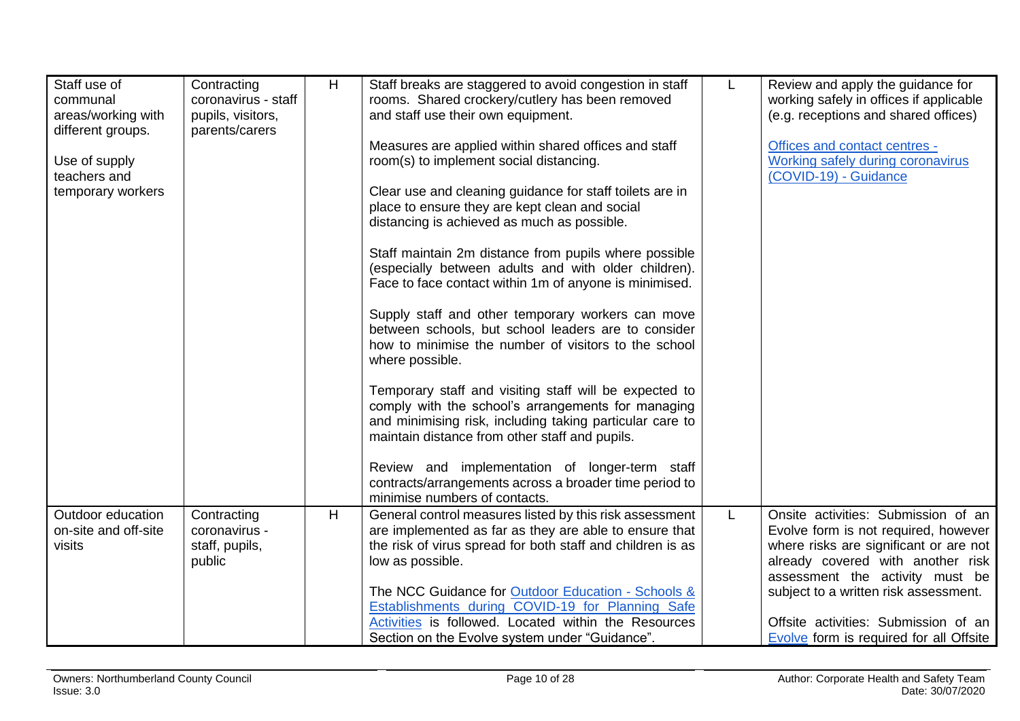<span id="page-9-1"></span><span id="page-9-0"></span>

| Staff use of<br>communal<br>areas/working with      | Contracting<br>coronavirus - staff<br>pupils, visitors,  | H | Staff breaks are staggered to avoid congestion in staff<br>rooms. Shared crockery/cutlery has been removed<br>and staff use their own equipment.                                                                                                          |    | Review and apply the guidance for<br>working safely in offices if applicable<br>(e.g. receptions and shared offices)                                                                                                                   |
|-----------------------------------------------------|----------------------------------------------------------|---|-----------------------------------------------------------------------------------------------------------------------------------------------------------------------------------------------------------------------------------------------------------|----|----------------------------------------------------------------------------------------------------------------------------------------------------------------------------------------------------------------------------------------|
| different groups.<br>Use of supply<br>teachers and  | parents/carers                                           |   | Measures are applied within shared offices and staff<br>room(s) to implement social distancing.                                                                                                                                                           |    | Offices and contact centres -<br>Working safely during coronavirus<br>(COVID-19) - Guidance                                                                                                                                            |
| temporary workers                                   |                                                          |   | Clear use and cleaning guidance for staff toilets are in<br>place to ensure they are kept clean and social<br>distancing is achieved as much as possible.                                                                                                 |    |                                                                                                                                                                                                                                        |
|                                                     |                                                          |   | Staff maintain 2m distance from pupils where possible<br>(especially between adults and with older children).<br>Face to face contact within 1m of anyone is minimised.                                                                                   |    |                                                                                                                                                                                                                                        |
|                                                     |                                                          |   | Supply staff and other temporary workers can move<br>between schools, but school leaders are to consider<br>how to minimise the number of visitors to the school<br>where possible.                                                                       |    |                                                                                                                                                                                                                                        |
|                                                     |                                                          |   | Temporary staff and visiting staff will be expected to<br>comply with the school's arrangements for managing<br>and minimising risk, including taking particular care to<br>maintain distance from other staff and pupils.                                |    |                                                                                                                                                                                                                                        |
|                                                     |                                                          |   | Review and implementation of longer-term staff<br>contracts/arrangements across a broader time period to<br>minimise numbers of contacts.                                                                                                                 |    |                                                                                                                                                                                                                                        |
| Outdoor education<br>on-site and off-site<br>visits | Contracting<br>coronavirus -<br>staff, pupils,<br>public | H | General control measures listed by this risk assessment<br>are implemented as far as they are able to ensure that<br>the risk of virus spread for both staff and children is as<br>low as possible.<br>The NCC Guidance for Outdoor Education - Schools & | L. | Onsite activities: Submission of an<br>Evolve form is not required, however<br>where risks are significant or are not<br>already covered with another risk<br>assessment the activity must be<br>subject to a written risk assessment. |
|                                                     |                                                          |   | Establishments during COVID-19 for Planning Safe<br>Activities is followed. Located within the Resources<br>Section on the Evolve system under "Guidance".                                                                                                |    | Offsite activities: Submission of an<br>Evolve form is required for all Offsite                                                                                                                                                        |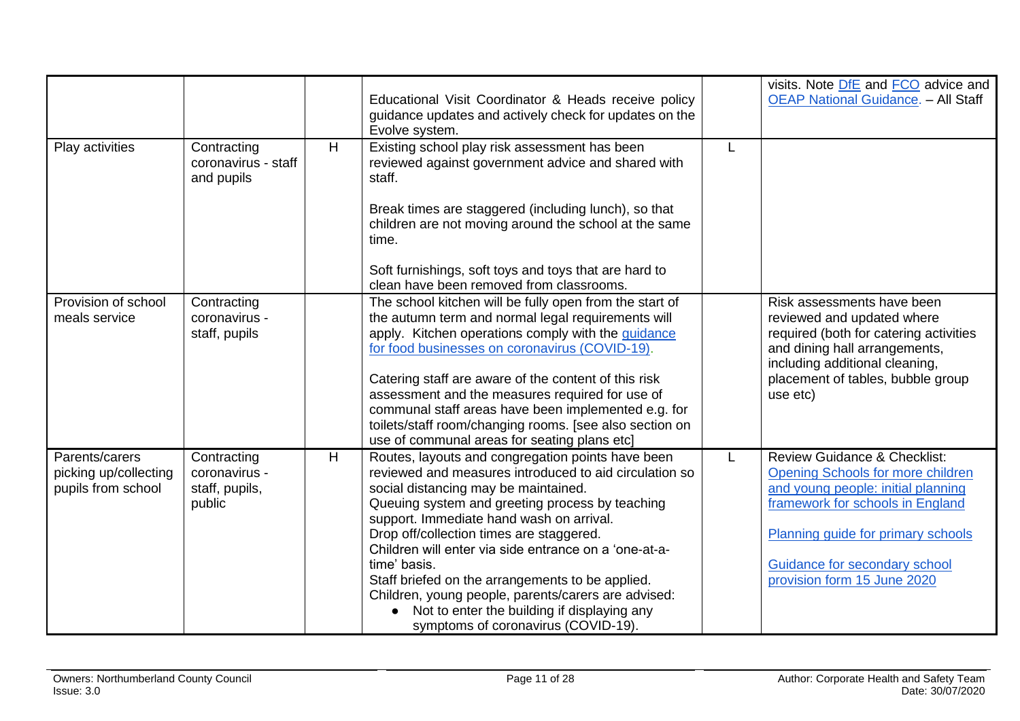<span id="page-10-1"></span><span id="page-10-0"></span>

|                                                               |                                                          |   | Educational Visit Coordinator & Heads receive policy<br>guidance updates and actively check for updates on the<br>Evolve system.                                                                                                                                                                                                                                                                                                                                                                                                                                           |   | visits. Note DfE and FCO advice and<br><b>OEAP National Guidance.</b> - All Staff                                                                                                                                                                            |
|---------------------------------------------------------------|----------------------------------------------------------|---|----------------------------------------------------------------------------------------------------------------------------------------------------------------------------------------------------------------------------------------------------------------------------------------------------------------------------------------------------------------------------------------------------------------------------------------------------------------------------------------------------------------------------------------------------------------------------|---|--------------------------------------------------------------------------------------------------------------------------------------------------------------------------------------------------------------------------------------------------------------|
| Play activities                                               | Contracting<br>coronavirus - staff<br>and pupils         | H | Existing school play risk assessment has been<br>reviewed against government advice and shared with<br>staff.                                                                                                                                                                                                                                                                                                                                                                                                                                                              | L |                                                                                                                                                                                                                                                              |
|                                                               |                                                          |   | Break times are staggered (including lunch), so that<br>children are not moving around the school at the same<br>time.                                                                                                                                                                                                                                                                                                                                                                                                                                                     |   |                                                                                                                                                                                                                                                              |
|                                                               |                                                          |   | Soft furnishings, soft toys and toys that are hard to<br>clean have been removed from classrooms.                                                                                                                                                                                                                                                                                                                                                                                                                                                                          |   |                                                                                                                                                                                                                                                              |
| Provision of school<br>meals service                          | Contracting<br>coronavirus -<br>staff, pupils            |   | The school kitchen will be fully open from the start of<br>the autumn term and normal legal requirements will<br>apply. Kitchen operations comply with the guidance<br>for food businesses on coronavirus (COVID-19).<br>Catering staff are aware of the content of this risk<br>assessment and the measures required for use of<br>communal staff areas have been implemented e.g. for<br>toilets/staff room/changing rooms. [see also section on<br>use of communal areas for seating plans etc]                                                                         |   | Risk assessments have been<br>reviewed and updated where<br>required (both for catering activities<br>and dining hall arrangements,<br>including additional cleaning,<br>placement of tables, bubble group<br>use etc)                                       |
| Parents/carers<br>picking up/collecting<br>pupils from school | Contracting<br>coronavirus -<br>staff, pupils,<br>public | H | Routes, layouts and congregation points have been<br>reviewed and measures introduced to aid circulation so<br>social distancing may be maintained.<br>Queuing system and greeting process by teaching<br>support. Immediate hand wash on arrival.<br>Drop off/collection times are staggered.<br>Children will enter via side entrance on a 'one-at-a-<br>time' basis.<br>Staff briefed on the arrangements to be applied.<br>Children, young people, parents/carers are advised:<br>• Not to enter the building if displaying any<br>symptoms of coronavirus (COVID-19). | L | <b>Review Guidance &amp; Checklist:</b><br>Opening Schools for more children<br>and young people: initial planning<br>framework for schools in England<br>Planning guide for primary schools<br>Guidance for secondary school<br>provision form 15 June 2020 |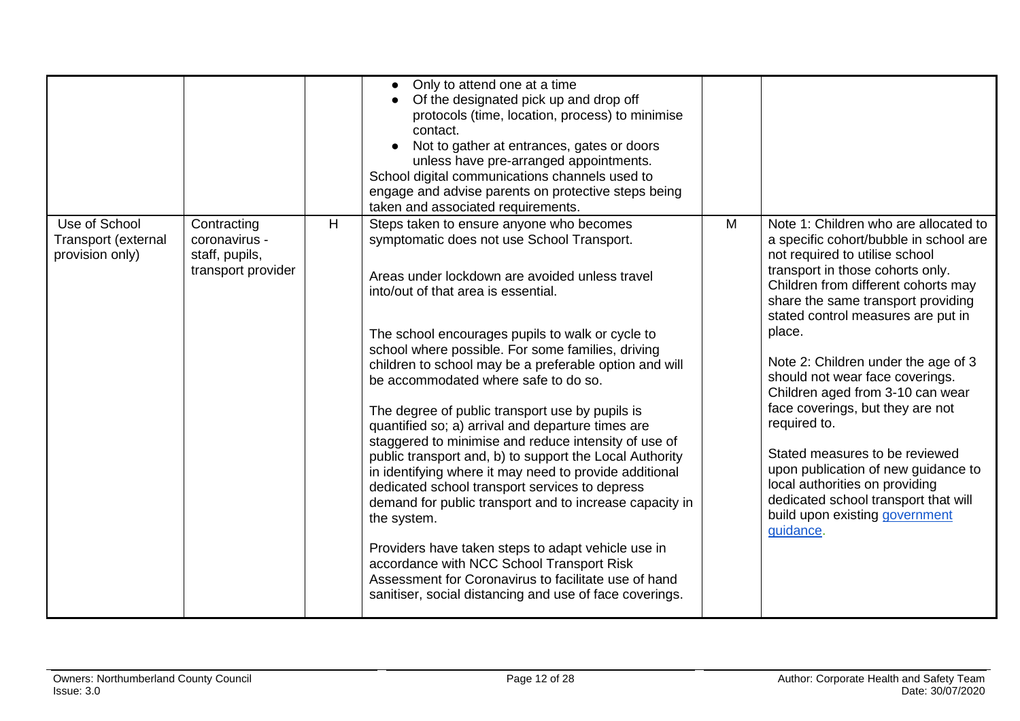<span id="page-11-0"></span>

|                                                                |                                                                      |   | Only to attend one at a time<br>$\bullet$<br>Of the designated pick up and drop off<br>protocols (time, location, process) to minimise<br>contact.<br>Not to gather at entrances, gates or doors<br>unless have pre-arranged appointments.<br>School digital communications channels used to<br>engage and advise parents on protective steps being<br>taken and associated requirements.                                                                                                                                                                                                                                                                                                                                                                                                                                                                                                                                                                                                                                         |   |                                                                                                                                                                                                                                                                                                                                                                                                                                                                                                                                                                                                                                                        |
|----------------------------------------------------------------|----------------------------------------------------------------------|---|-----------------------------------------------------------------------------------------------------------------------------------------------------------------------------------------------------------------------------------------------------------------------------------------------------------------------------------------------------------------------------------------------------------------------------------------------------------------------------------------------------------------------------------------------------------------------------------------------------------------------------------------------------------------------------------------------------------------------------------------------------------------------------------------------------------------------------------------------------------------------------------------------------------------------------------------------------------------------------------------------------------------------------------|---|--------------------------------------------------------------------------------------------------------------------------------------------------------------------------------------------------------------------------------------------------------------------------------------------------------------------------------------------------------------------------------------------------------------------------------------------------------------------------------------------------------------------------------------------------------------------------------------------------------------------------------------------------------|
| Use of School<br><b>Transport (external</b><br>provision only) | Contracting<br>coronavirus -<br>staff, pupils,<br>transport provider | H | Steps taken to ensure anyone who becomes<br>symptomatic does not use School Transport.<br>Areas under lockdown are avoided unless travel<br>into/out of that area is essential.<br>The school encourages pupils to walk or cycle to<br>school where possible. For some families, driving<br>children to school may be a preferable option and will<br>be accommodated where safe to do so.<br>The degree of public transport use by pupils is<br>quantified so; a) arrival and departure times are<br>staggered to minimise and reduce intensity of use of<br>public transport and, b) to support the Local Authority<br>in identifying where it may need to provide additional<br>dedicated school transport services to depress<br>demand for public transport and to increase capacity in<br>the system.<br>Providers have taken steps to adapt vehicle use in<br>accordance with NCC School Transport Risk<br>Assessment for Coronavirus to facilitate use of hand<br>sanitiser, social distancing and use of face coverings. | M | Note 1: Children who are allocated to<br>a specific cohort/bubble in school are<br>not required to utilise school<br>transport in those cohorts only.<br>Children from different cohorts may<br>share the same transport providing<br>stated control measures are put in<br>place.<br>Note 2: Children under the age of 3<br>should not wear face coverings.<br>Children aged from 3-10 can wear<br>face coverings, but they are not<br>required to.<br>Stated measures to be reviewed<br>upon publication of new guidance to<br>local authorities on providing<br>dedicated school transport that will<br>build upon existing government<br>guidance. |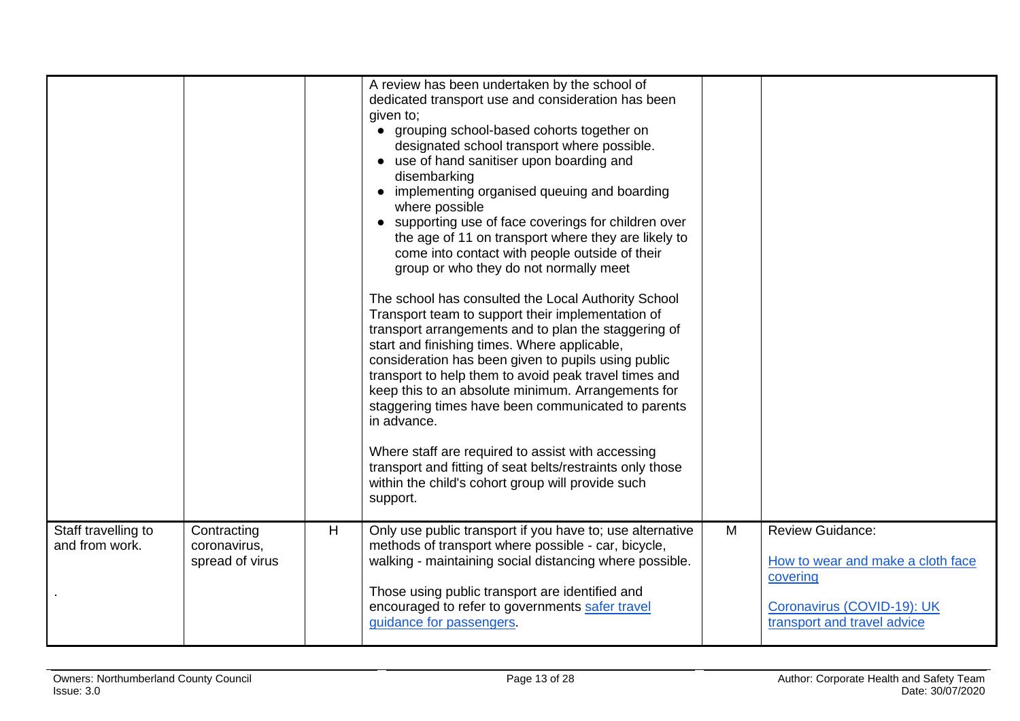<span id="page-12-0"></span>

|                                       |                                                |   | A review has been undertaken by the school of<br>dedicated transport use and consideration has been<br>given to;<br>• grouping school-based cohorts together on<br>designated school transport where possible.<br>• use of hand sanitiser upon boarding and<br>disembarking<br>• implementing organised queuing and boarding<br>where possible<br>• supporting use of face coverings for children over<br>the age of 11 on transport where they are likely to<br>come into contact with people outside of their<br>group or who they do not normally meet<br>The school has consulted the Local Authority School<br>Transport team to support their implementation of<br>transport arrangements and to plan the staggering of<br>start and finishing times. Where applicable,<br>consideration has been given to pupils using public<br>transport to help them to avoid peak travel times and<br>keep this to an absolute minimum. Arrangements for<br>staggering times have been communicated to parents<br>in advance.<br>Where staff are required to assist with accessing<br>transport and fitting of seat belts/restraints only those<br>within the child's cohort group will provide such<br>support. |   |                                                                                                                                       |
|---------------------------------------|------------------------------------------------|---|-------------------------------------------------------------------------------------------------------------------------------------------------------------------------------------------------------------------------------------------------------------------------------------------------------------------------------------------------------------------------------------------------------------------------------------------------------------------------------------------------------------------------------------------------------------------------------------------------------------------------------------------------------------------------------------------------------------------------------------------------------------------------------------------------------------------------------------------------------------------------------------------------------------------------------------------------------------------------------------------------------------------------------------------------------------------------------------------------------------------------------------------------------------------------------------------------------------|---|---------------------------------------------------------------------------------------------------------------------------------------|
| Staff travelling to<br>and from work. | Contracting<br>coronavirus,<br>spread of virus | H | Only use public transport if you have to; use alternative<br>methods of transport where possible - car, bicycle,<br>walking - maintaining social distancing where possible.<br>Those using public transport are identified and<br>encouraged to refer to governments safer travel<br>guidance for passengers.                                                                                                                                                                                                                                                                                                                                                                                                                                                                                                                                                                                                                                                                                                                                                                                                                                                                                               | M | <b>Review Guidance:</b><br>How to wear and make a cloth face<br>covering<br>Coronavirus (COVID-19): UK<br>transport and travel advice |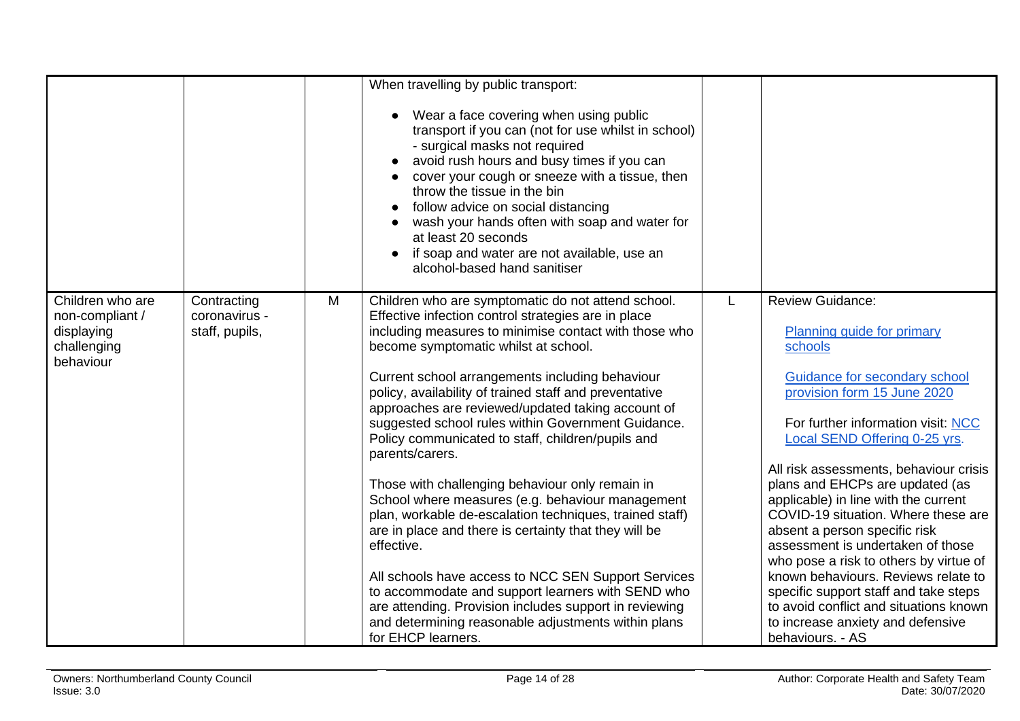<span id="page-13-0"></span>

|                                                                               |                                                |   | When travelling by public transport:                                                                                                                                                                                                                                                                                                                                                                                                                                                                                                                                                                                                                                                                                                                                                                                                                                                                                                                                                                   |                                                                                                                                                                                                                                                                                                                                                                                                                                                                                                                                                                                                                                                                        |
|-------------------------------------------------------------------------------|------------------------------------------------|---|--------------------------------------------------------------------------------------------------------------------------------------------------------------------------------------------------------------------------------------------------------------------------------------------------------------------------------------------------------------------------------------------------------------------------------------------------------------------------------------------------------------------------------------------------------------------------------------------------------------------------------------------------------------------------------------------------------------------------------------------------------------------------------------------------------------------------------------------------------------------------------------------------------------------------------------------------------------------------------------------------------|------------------------------------------------------------------------------------------------------------------------------------------------------------------------------------------------------------------------------------------------------------------------------------------------------------------------------------------------------------------------------------------------------------------------------------------------------------------------------------------------------------------------------------------------------------------------------------------------------------------------------------------------------------------------|
|                                                                               |                                                |   | Wear a face covering when using public<br>transport if you can (not for use whilst in school)<br>- surgical masks not required<br>avoid rush hours and busy times if you can<br>cover your cough or sneeze with a tissue, then<br>throw the tissue in the bin<br>follow advice on social distancing<br>wash your hands often with soap and water for<br>at least 20 seconds<br>if soap and water are not available, use an<br>$\bullet$<br>alcohol-based hand sanitiser                                                                                                                                                                                                                                                                                                                                                                                                                                                                                                                                |                                                                                                                                                                                                                                                                                                                                                                                                                                                                                                                                                                                                                                                                        |
| Children who are<br>non-compliant /<br>displaying<br>challenging<br>behaviour | Contracting<br>coronavirus -<br>staff, pupils, | M | Children who are symptomatic do not attend school.<br>Effective infection control strategies are in place<br>including measures to minimise contact with those who<br>become symptomatic whilst at school.<br>Current school arrangements including behaviour<br>policy, availability of trained staff and preventative<br>approaches are reviewed/updated taking account of<br>suggested school rules within Government Guidance.<br>Policy communicated to staff, children/pupils and<br>parents/carers.<br>Those with challenging behaviour only remain in<br>School where measures (e.g. behaviour management<br>plan, workable de-escalation techniques, trained staff)<br>are in place and there is certainty that they will be<br>effective.<br>All schools have access to NCC SEN Support Services<br>to accommodate and support learners with SEND who<br>are attending. Provision includes support in reviewing<br>and determining reasonable adjustments within plans<br>for EHCP learners. | <b>Review Guidance:</b><br>Planning guide for primary<br>schools<br>Guidance for secondary school<br>provision form 15 June 2020<br>For further information visit: NCC<br>Local SEND Offering 0-25 yrs.<br>All risk assessments, behaviour crisis<br>plans and EHCPs are updated (as<br>applicable) in line with the current<br>COVID-19 situation. Where these are<br>absent a person specific risk<br>assessment is undertaken of those<br>who pose a risk to others by virtue of<br>known behaviours. Reviews relate to<br>specific support staff and take steps<br>to avoid conflict and situations known<br>to increase anxiety and defensive<br>behaviours. - AS |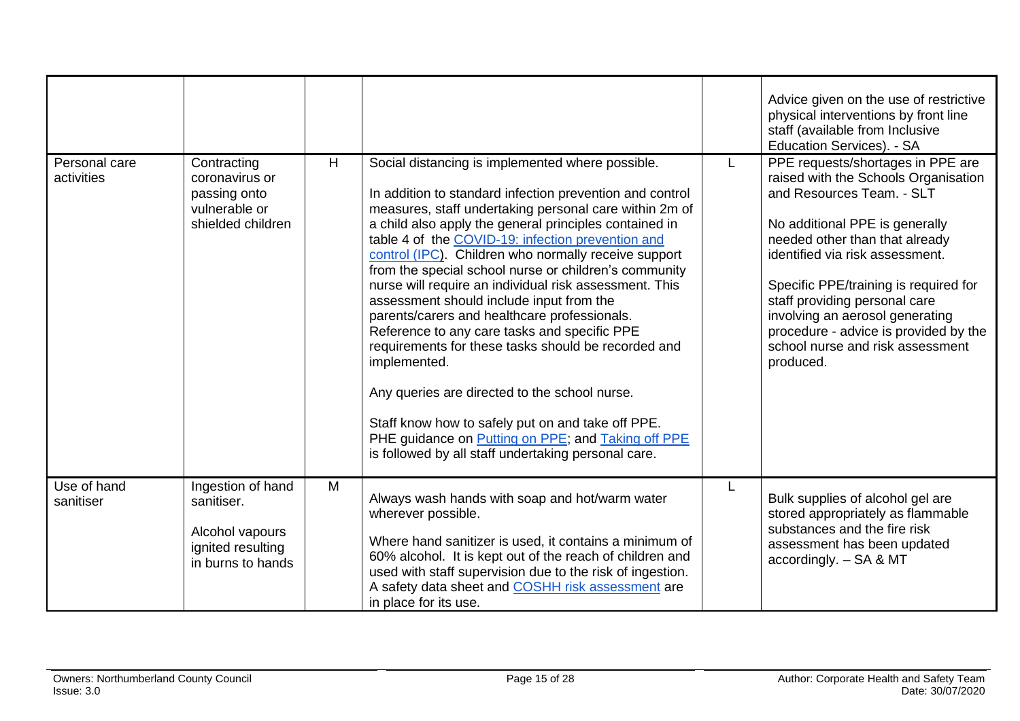<span id="page-14-1"></span><span id="page-14-0"></span>

|                             |                                                                                              |   |                                                                                                                                                                                                                                                                                                                                                                                                                                                                                                                                                                                                                                                                                                                                                                                                                                                                                                        |   | Advice given on the use of restrictive<br>physical interventions by front line<br>staff (available from Inclusive<br>Education Services). - SA                                                                                                                                                                                                                                                                       |
|-----------------------------|----------------------------------------------------------------------------------------------|---|--------------------------------------------------------------------------------------------------------------------------------------------------------------------------------------------------------------------------------------------------------------------------------------------------------------------------------------------------------------------------------------------------------------------------------------------------------------------------------------------------------------------------------------------------------------------------------------------------------------------------------------------------------------------------------------------------------------------------------------------------------------------------------------------------------------------------------------------------------------------------------------------------------|---|----------------------------------------------------------------------------------------------------------------------------------------------------------------------------------------------------------------------------------------------------------------------------------------------------------------------------------------------------------------------------------------------------------------------|
| Personal care<br>activities | Contracting<br>coronavirus or<br>passing onto<br>vulnerable or<br>shielded children          | H | Social distancing is implemented where possible.<br>In addition to standard infection prevention and control<br>measures, staff undertaking personal care within 2m of<br>a child also apply the general principles contained in<br>table 4 of the COVID-19: infection prevention and<br>control (IPC). Children who normally receive support<br>from the special school nurse or children's community<br>nurse will require an individual risk assessment. This<br>assessment should include input from the<br>parents/carers and healthcare professionals.<br>Reference to any care tasks and specific PPE<br>requirements for these tasks should be recorded and<br>implemented.<br>Any queries are directed to the school nurse.<br>Staff know how to safely put on and take off PPE.<br>PHE guidance on Putting on PPE; and Taking off PPE<br>is followed by all staff undertaking personal care. |   | PPE requests/shortages in PPE are<br>raised with the Schools Organisation<br>and Resources Team. - SLT<br>No additional PPE is generally<br>needed other than that already<br>identified via risk assessment.<br>Specific PPE/training is required for<br>staff providing personal care<br>involving an aerosol generating<br>procedure - advice is provided by the<br>school nurse and risk assessment<br>produced. |
| Use of hand<br>sanitiser    | Ingestion of hand<br>sanitiser.<br>Alcohol vapours<br>ignited resulting<br>in burns to hands | M | Always wash hands with soap and hot/warm water<br>wherever possible.<br>Where hand sanitizer is used, it contains a minimum of<br>60% alcohol. It is kept out of the reach of children and<br>used with staff supervision due to the risk of ingestion.<br>A safety data sheet and COSHH risk assessment are<br>in place for its use.                                                                                                                                                                                                                                                                                                                                                                                                                                                                                                                                                                  | L | Bulk supplies of alcohol gel are<br>stored appropriately as flammable<br>substances and the fire risk<br>assessment has been updated<br>accordingly. - SA & MT                                                                                                                                                                                                                                                       |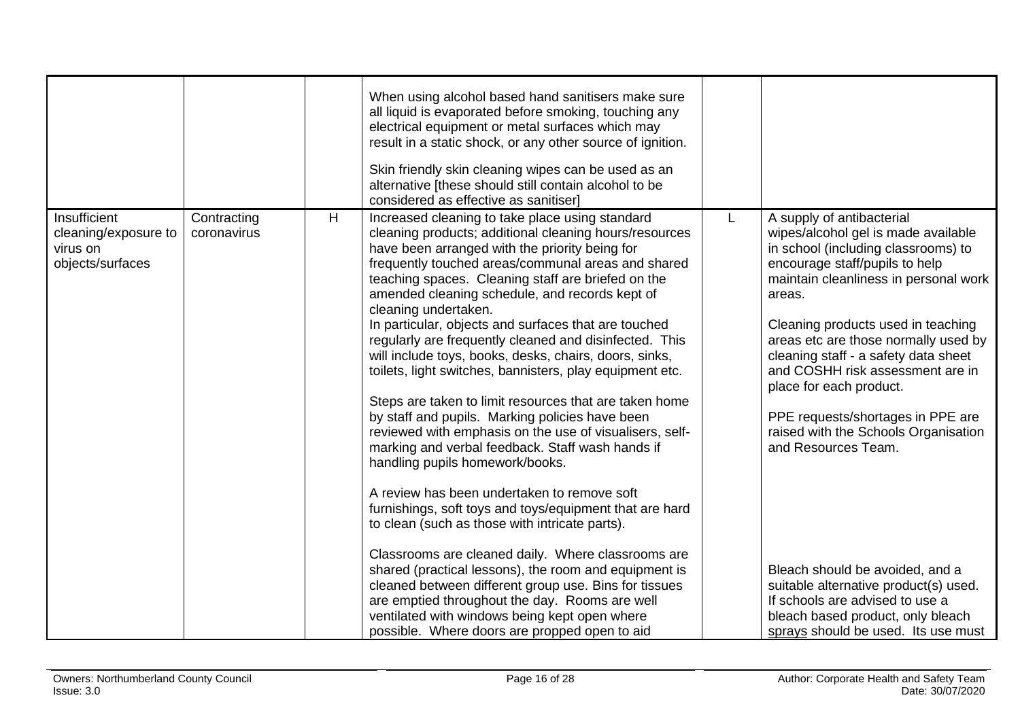<span id="page-15-0"></span>

|                                                                      |                            |   | When using alcohol based hand sanitisers make sure<br>all liquid is evaporated before smoking, touching any<br>electrical equipment or metal surfaces which may<br>result in a static shock, or any other source of ignition.<br>Skin friendly skin cleaning wipes can be used as an<br>alternative [these should still contain alcohol to be<br>considered as effective as sanitiser]                                                                                                                                                                                                                                                                                                                                                                                                                                                                                                                                                                                                                                                                                                                                                                                                                                                                                                          |   |                                                                                                                                                                                                                                                                                                                                                                                                                                                                                                                                                                                                                                           |
|----------------------------------------------------------------------|----------------------------|---|-------------------------------------------------------------------------------------------------------------------------------------------------------------------------------------------------------------------------------------------------------------------------------------------------------------------------------------------------------------------------------------------------------------------------------------------------------------------------------------------------------------------------------------------------------------------------------------------------------------------------------------------------------------------------------------------------------------------------------------------------------------------------------------------------------------------------------------------------------------------------------------------------------------------------------------------------------------------------------------------------------------------------------------------------------------------------------------------------------------------------------------------------------------------------------------------------------------------------------------------------------------------------------------------------|---|-------------------------------------------------------------------------------------------------------------------------------------------------------------------------------------------------------------------------------------------------------------------------------------------------------------------------------------------------------------------------------------------------------------------------------------------------------------------------------------------------------------------------------------------------------------------------------------------------------------------------------------------|
| Insufficient<br>cleaning/exposure to<br>virus on<br>objects/surfaces | Contracting<br>coronavirus | H | Increased cleaning to take place using standard<br>cleaning products; additional cleaning hours/resources<br>have been arranged with the priority being for<br>frequently touched areas/communal areas and shared<br>teaching spaces. Cleaning staff are briefed on the<br>amended cleaning schedule, and records kept of<br>cleaning undertaken.<br>In particular, objects and surfaces that are touched<br>regularly are frequently cleaned and disinfected. This<br>will include toys, books, desks, chairs, doors, sinks,<br>toilets, light switches, bannisters, play equipment etc.<br>Steps are taken to limit resources that are taken home<br>by staff and pupils. Marking policies have been<br>reviewed with emphasis on the use of visualisers, self-<br>marking and verbal feedback. Staff wash hands if<br>handling pupils homework/books.<br>A review has been undertaken to remove soft<br>furnishings, soft toys and toys/equipment that are hard<br>to clean (such as those with intricate parts).<br>Classrooms are cleaned daily. Where classrooms are<br>shared (practical lessons), the room and equipment is<br>cleaned between different group use. Bins for tissues<br>are emptied throughout the day. Rooms are well<br>ventilated with windows being kept open where | L | A supply of antibacterial<br>wipes/alcohol gel is made available<br>in school (including classrooms) to<br>encourage staff/pupils to help<br>maintain cleanliness in personal work<br>areas.<br>Cleaning products used in teaching<br>areas etc are those normally used by<br>cleaning staff - a safety data sheet<br>and COSHH risk assessment are in<br>place for each product.<br>PPE requests/shortages in PPE are<br>raised with the Schools Organisation<br>and Resources Team.<br>Bleach should be avoided, and a<br>suitable alternative product(s) used.<br>If schools are advised to use a<br>bleach based product, only bleach |
|                                                                      |                            |   | possible. Where doors are propped open to aid                                                                                                                                                                                                                                                                                                                                                                                                                                                                                                                                                                                                                                                                                                                                                                                                                                                                                                                                                                                                                                                                                                                                                                                                                                                   |   | sprays should be used. Its use must                                                                                                                                                                                                                                                                                                                                                                                                                                                                                                                                                                                                       |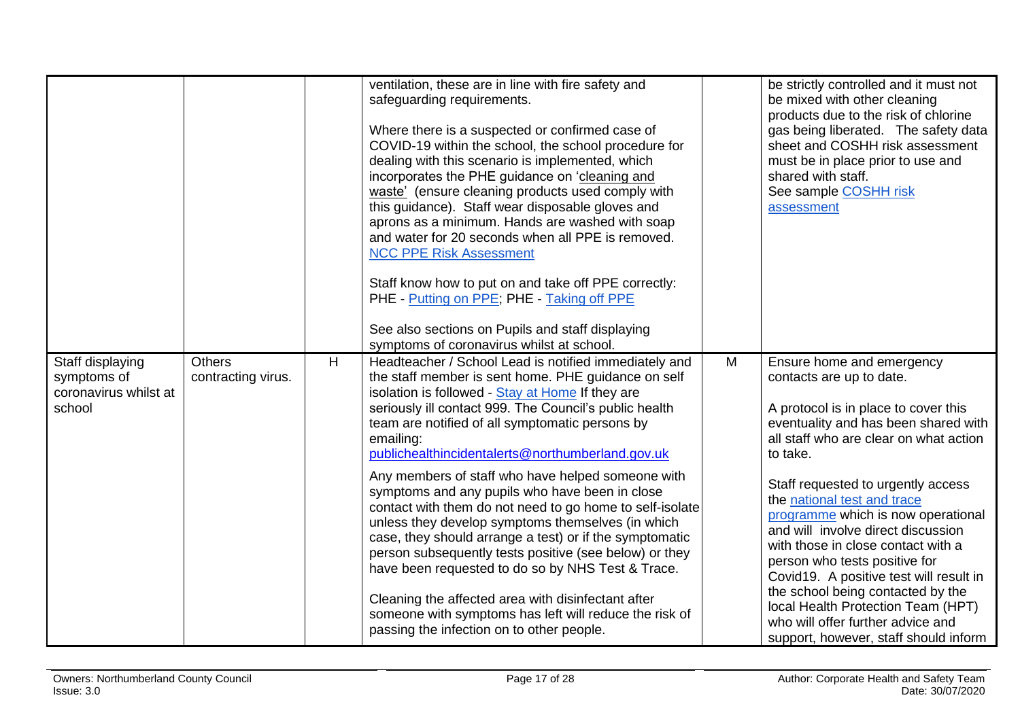<span id="page-16-0"></span>

|                                                                    |                                     |   | ventilation, these are in line with fire safety and<br>safeguarding requirements.<br>Where there is a suspected or confirmed case of<br>COVID-19 within the school, the school procedure for<br>dealing with this scenario is implemented, which<br>incorporates the PHE guidance on 'cleaning and<br>waste' (ensure cleaning products used comply with<br>this guidance). Staff wear disposable gloves and<br>aprons as a minimum. Hands are washed with soap<br>and water for 20 seconds when all PPE is removed.<br><b>NCC PPE Risk Assessment</b><br>Staff know how to put on and take off PPE correctly:<br>PHE - Putting on PPE; PHE - Taking off PPE<br>See also sections on Pupils and staff displaying<br>symptoms of coronavirus whilst at school.                                                                                                                                                  |   | be strictly controlled and it must not<br>be mixed with other cleaning<br>products due to the risk of chlorine<br>gas being liberated. The safety data<br>sheet and COSHH risk assessment<br>must be in place prior to use and<br>shared with staff.<br>See sample COSHH risk<br>assessment                                                                                                                                                                                                                                                                                                                             |
|--------------------------------------------------------------------|-------------------------------------|---|---------------------------------------------------------------------------------------------------------------------------------------------------------------------------------------------------------------------------------------------------------------------------------------------------------------------------------------------------------------------------------------------------------------------------------------------------------------------------------------------------------------------------------------------------------------------------------------------------------------------------------------------------------------------------------------------------------------------------------------------------------------------------------------------------------------------------------------------------------------------------------------------------------------|---|-------------------------------------------------------------------------------------------------------------------------------------------------------------------------------------------------------------------------------------------------------------------------------------------------------------------------------------------------------------------------------------------------------------------------------------------------------------------------------------------------------------------------------------------------------------------------------------------------------------------------|
| Staff displaying<br>symptoms of<br>coronavirus whilst at<br>school | <b>Others</b><br>contracting virus. | H | Headteacher / School Lead is notified immediately and<br>the staff member is sent home. PHE guidance on self<br>isolation is followed - Stay at Home If they are<br>seriously ill contact 999. The Council's public health<br>team are notified of all symptomatic persons by<br>emailing:<br>publichealthincidentalerts@northumberland.gov.uk<br>Any members of staff who have helped someone with<br>symptoms and any pupils who have been in close<br>contact with them do not need to go home to self-isolate<br>unless they develop symptoms themselves (in which<br>case, they should arrange a test) or if the symptomatic<br>person subsequently tests positive (see below) or they<br>have been requested to do so by NHS Test & Trace.<br>Cleaning the affected area with disinfectant after<br>someone with symptoms has left will reduce the risk of<br>passing the infection on to other people. | M | Ensure home and emergency<br>contacts are up to date.<br>A protocol is in place to cover this<br>eventuality and has been shared with<br>all staff who are clear on what action<br>to take.<br>Staff requested to urgently access<br>the national test and trace<br>programme which is now operational<br>and will involve direct discussion<br>with those in close contact with a<br>person who tests positive for<br>Covid19. A positive test will result in<br>the school being contacted by the<br>local Health Protection Team (HPT)<br>who will offer further advice and<br>support, however, staff should inform |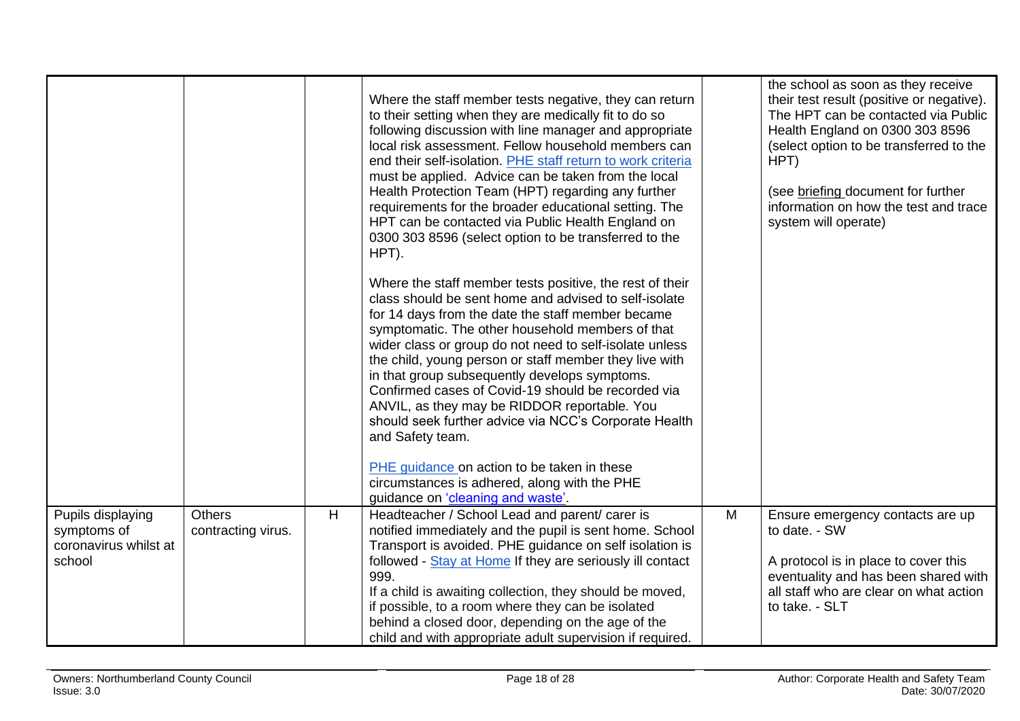<span id="page-17-0"></span>

|                                                                     |                                     |   | Where the staff member tests negative, they can return<br>to their setting when they are medically fit to do so<br>following discussion with line manager and appropriate<br>local risk assessment. Fellow household members can<br>end their self-isolation. PHE staff return to work criteria<br>must be applied. Advice can be taken from the local<br>Health Protection Team (HPT) regarding any further<br>requirements for the broader educational setting. The<br>HPT can be contacted via Public Health England on<br>0300 303 8596 (select option to be transferred to the<br>HPT).<br>Where the staff member tests positive, the rest of their<br>class should be sent home and advised to self-isolate<br>for 14 days from the date the staff member became<br>symptomatic. The other household members of that<br>wider class or group do not need to self-isolate unless<br>the child, young person or staff member they live with<br>in that group subsequently develops symptoms.<br>Confirmed cases of Covid-19 should be recorded via<br>ANVIL, as they may be RIDDOR reportable. You<br>should seek further advice via NCC's Corporate Health<br>and Safety team.<br>PHE guidance on action to be taken in these<br>circumstances is adhered, along with the PHE<br>guidance on 'cleaning and waste'. |   | the school as soon as they receive<br>their test result (positive or negative).<br>The HPT can be contacted via Public<br>Health England on 0300 303 8596<br>(select option to be transferred to the<br>HPT)<br>(see briefing document for further<br>information on how the test and trace<br>system will operate) |
|---------------------------------------------------------------------|-------------------------------------|---|-------------------------------------------------------------------------------------------------------------------------------------------------------------------------------------------------------------------------------------------------------------------------------------------------------------------------------------------------------------------------------------------------------------------------------------------------------------------------------------------------------------------------------------------------------------------------------------------------------------------------------------------------------------------------------------------------------------------------------------------------------------------------------------------------------------------------------------------------------------------------------------------------------------------------------------------------------------------------------------------------------------------------------------------------------------------------------------------------------------------------------------------------------------------------------------------------------------------------------------------------------------------------------------------------------------------------|---|---------------------------------------------------------------------------------------------------------------------------------------------------------------------------------------------------------------------------------------------------------------------------------------------------------------------|
| Pupils displaying<br>symptoms of<br>coronavirus whilst at<br>school | <b>Others</b><br>contracting virus. | H | Headteacher / School Lead and parent/ carer is<br>notified immediately and the pupil is sent home. School<br>Transport is avoided. PHE guidance on self isolation is<br>followed - Stay at Home If they are seriously ill contact<br>999.<br>If a child is awaiting collection, they should be moved,<br>if possible, to a room where they can be isolated<br>behind a closed door, depending on the age of the<br>child and with appropriate adult supervision if required.                                                                                                                                                                                                                                                                                                                                                                                                                                                                                                                                                                                                                                                                                                                                                                                                                                            | M | Ensure emergency contacts are up<br>to date. - SW<br>A protocol is in place to cover this<br>eventuality and has been shared with<br>all staff who are clear on what action<br>to take. - SLT                                                                                                                       |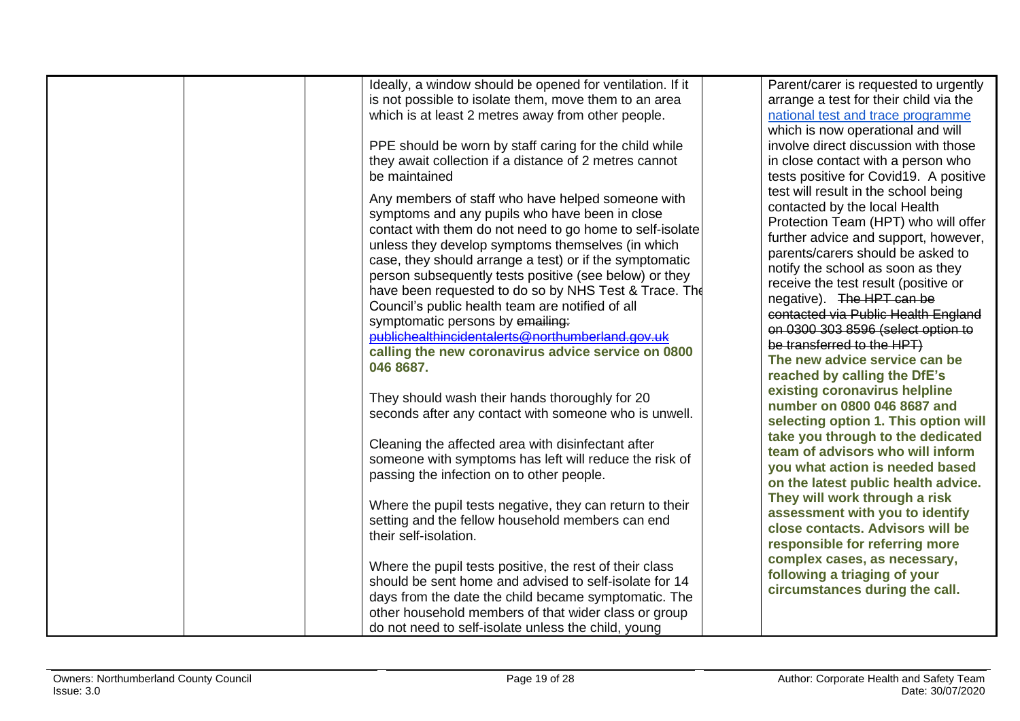| Ideally, a window should be opened for ventilation. If it<br>is not possible to isolate them, move them to an area<br>which is at least 2 metres away from other people.<br>PPE should be worn by staff caring for the child while<br>they await collection if a distance of 2 metres cannot<br>be maintained<br>Any members of staff who have helped someone with<br>symptoms and any pupils who have been in close                                                                                       | Parent/carer is requested to urgently<br>arrange a test for their child via the<br>national test and trace programme<br>which is now operational and will<br>involve direct discussion with those<br>in close contact with a person who<br>tests positive for Covid19. A positive<br>test will result in the school being<br>contacted by the local Health                                              |
|------------------------------------------------------------------------------------------------------------------------------------------------------------------------------------------------------------------------------------------------------------------------------------------------------------------------------------------------------------------------------------------------------------------------------------------------------------------------------------------------------------|---------------------------------------------------------------------------------------------------------------------------------------------------------------------------------------------------------------------------------------------------------------------------------------------------------------------------------------------------------------------------------------------------------|
| contact with them do not need to go home to self-isolate<br>unless they develop symptoms themselves (in which<br>case, they should arrange a test) or if the symptomatic<br>person subsequently tests positive (see below) or they<br>have been requested to do so by NHS Test & Trace. The<br>Council's public health team are notified of all<br>symptomatic persons by emailing:<br>publichealthincidentalerts@northumberland.gov.uk<br>calling the new coronavirus advice service on 0800<br>046 8687. | Protection Team (HPT) who will offer<br>further advice and support, however,<br>parents/carers should be asked to<br>notify the school as soon as they<br>receive the test result (positive or<br>negative). The HPT can be<br>contacted via Public Health England<br>on 0300 303 8596 (select option to<br>be transferred to the HPT)<br>The new advice service can be<br>reached by calling the DfE's |
| They should wash their hands thoroughly for 20<br>seconds after any contact with someone who is unwell.                                                                                                                                                                                                                                                                                                                                                                                                    | existing coronavirus helpline<br>number on 0800 046 8687 and<br>selecting option 1. This option will                                                                                                                                                                                                                                                                                                    |
| Cleaning the affected area with disinfectant after<br>someone with symptoms has left will reduce the risk of<br>passing the infection on to other people.                                                                                                                                                                                                                                                                                                                                                  | take you through to the dedicated<br>team of advisors who will inform<br>you what action is needed based<br>on the latest public health advice.                                                                                                                                                                                                                                                         |
| Where the pupil tests negative, they can return to their<br>setting and the fellow household members can end<br>their self-isolation.                                                                                                                                                                                                                                                                                                                                                                      | They will work through a risk<br>assessment with you to identify<br>close contacts. Advisors will be<br>responsible for referring more                                                                                                                                                                                                                                                                  |
| Where the pupil tests positive, the rest of their class<br>should be sent home and advised to self-isolate for 14<br>days from the date the child became symptomatic. The<br>other household members of that wider class or group<br>do not need to self-isolate unless the child, young                                                                                                                                                                                                                   | complex cases, as necessary,<br>following a triaging of your<br>circumstances during the call.                                                                                                                                                                                                                                                                                                          |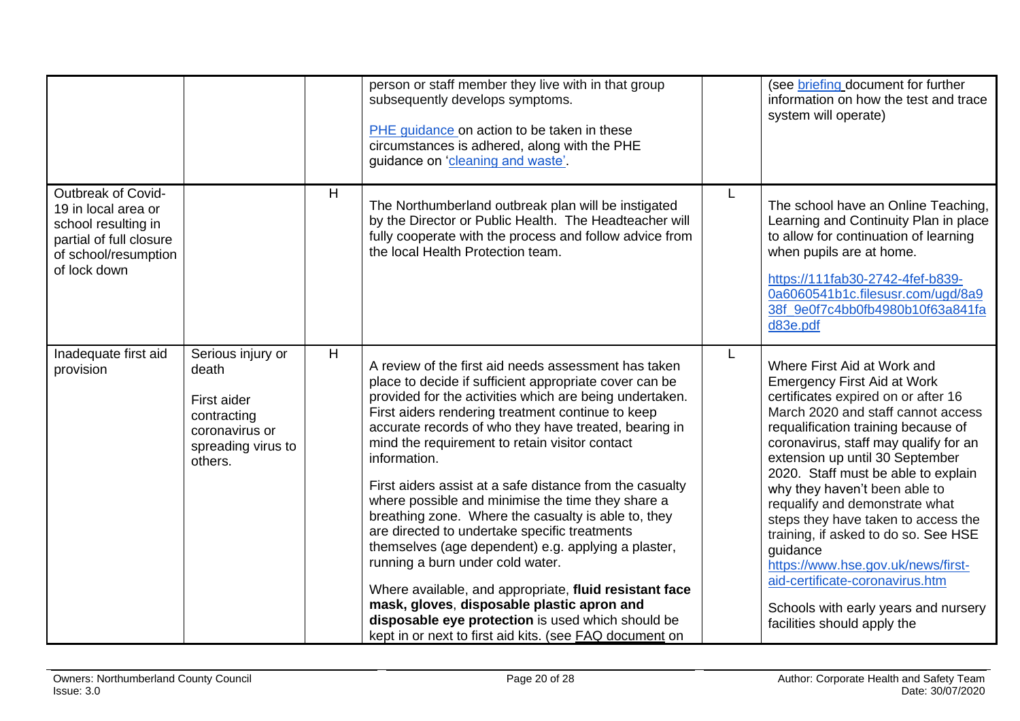<span id="page-19-1"></span><span id="page-19-0"></span>

|                                                                                                                                            |                                                                                                             |                | person or staff member they live with in that group<br>subsequently develops symptoms.<br>PHE guidance on action to be taken in these<br>circumstances is adhered, along with the PHE<br>guidance on 'cleaning and waste'.                                                                                                                                                                                                                                                                                                                                                                                                                                                                                                                                                                                                                                                                            |    | (see briefing document for further<br>information on how the test and trace<br>system will operate)                                                                                                                                                                                                                                                                                                                                                                                                                                                                                                                    |
|--------------------------------------------------------------------------------------------------------------------------------------------|-------------------------------------------------------------------------------------------------------------|----------------|-------------------------------------------------------------------------------------------------------------------------------------------------------------------------------------------------------------------------------------------------------------------------------------------------------------------------------------------------------------------------------------------------------------------------------------------------------------------------------------------------------------------------------------------------------------------------------------------------------------------------------------------------------------------------------------------------------------------------------------------------------------------------------------------------------------------------------------------------------------------------------------------------------|----|------------------------------------------------------------------------------------------------------------------------------------------------------------------------------------------------------------------------------------------------------------------------------------------------------------------------------------------------------------------------------------------------------------------------------------------------------------------------------------------------------------------------------------------------------------------------------------------------------------------------|
| <b>Outbreak of Covid-</b><br>19 in local area or<br>school resulting in<br>partial of full closure<br>of school/resumption<br>of lock down |                                                                                                             | H              | The Northumberland outbreak plan will be instigated<br>by the Director or Public Health. The Headteacher will<br>fully cooperate with the process and follow advice from<br>the local Health Protection team.                                                                                                                                                                                                                                                                                                                                                                                                                                                                                                                                                                                                                                                                                         | L. | The school have an Online Teaching,<br>Learning and Continuity Plan in place<br>to allow for continuation of learning<br>when pupils are at home.<br>https://111fab30-2742-4fef-b839-<br>0a6060541b1c.filesusr.com/ugd/8a9<br>38f 9e0f7c4bb0fb4980b10f63a841fa<br>d83e.pdf                                                                                                                                                                                                                                                                                                                                             |
| Inadequate first aid<br>provision                                                                                                          | Serious injury or<br>death<br>First aider<br>contracting<br>coronavirus or<br>spreading virus to<br>others. | $\overline{H}$ | A review of the first aid needs assessment has taken<br>place to decide if sufficient appropriate cover can be<br>provided for the activities which are being undertaken.<br>First aiders rendering treatment continue to keep<br>accurate records of who they have treated, bearing in<br>mind the requirement to retain visitor contact<br>information.<br>First aiders assist at a safe distance from the casualty<br>where possible and minimise the time they share a<br>breathing zone. Where the casualty is able to, they<br>are directed to undertake specific treatments<br>themselves (age dependent) e.g. applying a plaster,<br>running a burn under cold water.<br>Where available, and appropriate, fluid resistant face<br>mask, gloves, disposable plastic apron and<br>disposable eye protection is used which should be<br>kept in or next to first aid kits. (see FAQ document on | L  | Where First Aid at Work and<br><b>Emergency First Aid at Work</b><br>certificates expired on or after 16<br>March 2020 and staff cannot access<br>requalification training because of<br>coronavirus, staff may qualify for an<br>extension up until 30 September<br>2020. Staff must be able to explain<br>why they haven't been able to<br>requalify and demonstrate what<br>steps they have taken to access the<br>training, if asked to do so. See HSE<br>quidance<br>https://www.hse.gov.uk/news/first-<br>aid-certificate-coronavirus.htm<br>Schools with early years and nursery<br>facilities should apply the |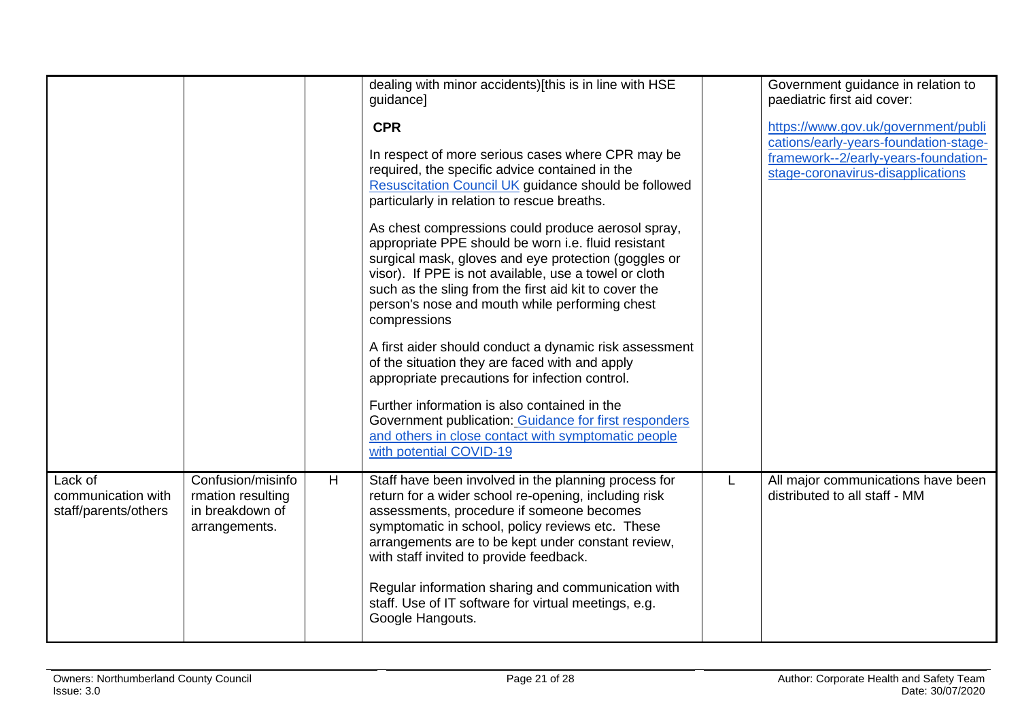<span id="page-20-0"></span>

|                                                       |                                                                            |   | dealing with minor accidents)[this is in line with HSE<br>guidance]                                                                                                                                                                                                                                                                                                                                                                                                                                                                                                                                                                                                                                                                                                                                                                                                                                                                               |    | Government guidance in relation to<br>paediatric first aid cover:                                                                                         |
|-------------------------------------------------------|----------------------------------------------------------------------------|---|---------------------------------------------------------------------------------------------------------------------------------------------------------------------------------------------------------------------------------------------------------------------------------------------------------------------------------------------------------------------------------------------------------------------------------------------------------------------------------------------------------------------------------------------------------------------------------------------------------------------------------------------------------------------------------------------------------------------------------------------------------------------------------------------------------------------------------------------------------------------------------------------------------------------------------------------------|----|-----------------------------------------------------------------------------------------------------------------------------------------------------------|
|                                                       |                                                                            |   | <b>CPR</b><br>In respect of more serious cases where CPR may be<br>required, the specific advice contained in the<br><b>Resuscitation Council UK guidance should be followed</b><br>particularly in relation to rescue breaths.<br>As chest compressions could produce aerosol spray,<br>appropriate PPE should be worn i.e. fluid resistant<br>surgical mask, gloves and eye protection (goggles or<br>visor). If PPE is not available, use a towel or cloth<br>such as the sling from the first aid kit to cover the<br>person's nose and mouth while performing chest<br>compressions<br>A first aider should conduct a dynamic risk assessment<br>of the situation they are faced with and apply<br>appropriate precautions for infection control.<br>Further information is also contained in the<br>Government publication: Guidance for first responders<br>and others in close contact with symptomatic people<br>with potential COVID-19 |    | https://www.gov.uk/government/publi<br>cations/early-years-foundation-stage-<br>framework--2/early-years-foundation-<br>stage-coronavirus-disapplications |
| Lack of<br>communication with<br>staff/parents/others | Confusion/misinfo<br>rmation resulting<br>in breakdown of<br>arrangements. | H | Staff have been involved in the planning process for<br>return for a wider school re-opening, including risk<br>assessments, procedure if someone becomes<br>symptomatic in school, policy reviews etc. These<br>arrangements are to be kept under constant review,<br>with staff invited to provide feedback.<br>Regular information sharing and communication with<br>staff. Use of IT software for virtual meetings, e.g.<br>Google Hangouts.                                                                                                                                                                                                                                                                                                                                                                                                                                                                                                  | L. | All major communications have been<br>distributed to all staff - MM                                                                                       |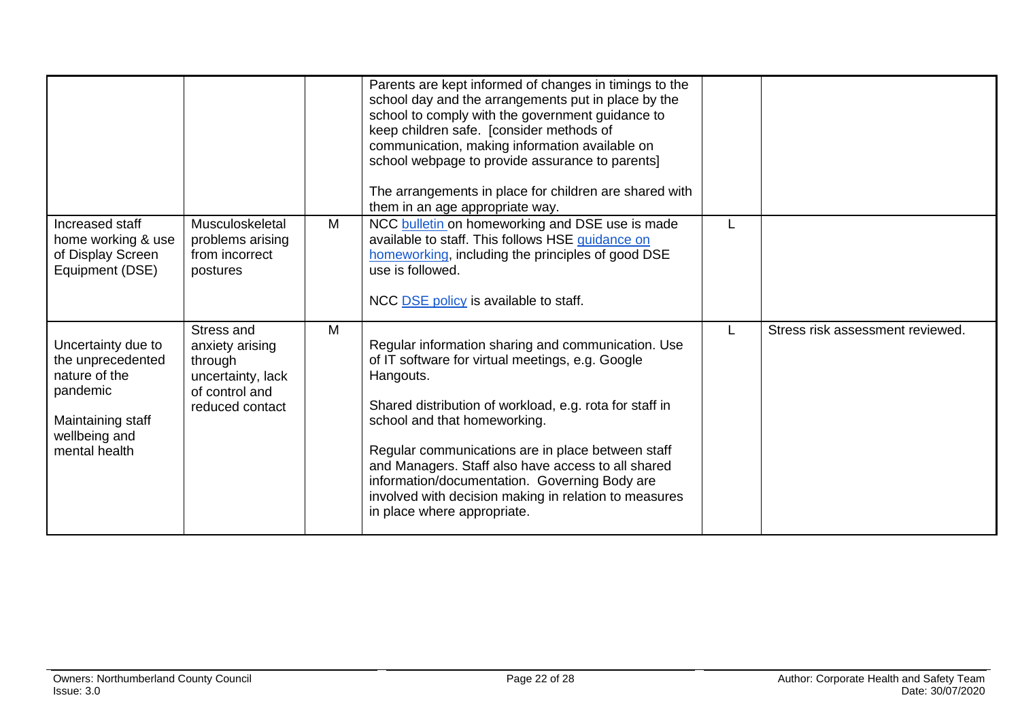|                                                                                                                             |                                                                                                    |   | Parents are kept informed of changes in timings to the<br>school day and the arrangements put in place by the<br>school to comply with the government guidance to<br>keep children safe. [consider methods of<br>communication, making information available on<br>school webpage to provide assurance to parents]<br>The arrangements in place for children are shared with<br>them in an age appropriate way.                                                    |    |                                  |
|-----------------------------------------------------------------------------------------------------------------------------|----------------------------------------------------------------------------------------------------|---|--------------------------------------------------------------------------------------------------------------------------------------------------------------------------------------------------------------------------------------------------------------------------------------------------------------------------------------------------------------------------------------------------------------------------------------------------------------------|----|----------------------------------|
| Increased staff<br>home working & use<br>of Display Screen<br>Equipment (DSE)                                               | Musculoskeletal<br>problems arising<br>from incorrect<br>postures                                  | M | NCC bulletin on homeworking and DSE use is made<br>available to staff. This follows HSE guidance on<br>homeworking, including the principles of good DSE<br>use is followed.<br>NCC DSE policy is available to staff.                                                                                                                                                                                                                                              | L  |                                  |
| Uncertainty due to<br>the unprecedented<br>nature of the<br>pandemic<br>Maintaining staff<br>wellbeing and<br>mental health | Stress and<br>anxiety arising<br>through<br>uncertainty, lack<br>of control and<br>reduced contact | M | Regular information sharing and communication. Use<br>of IT software for virtual meetings, e.g. Google<br>Hangouts.<br>Shared distribution of workload, e.g. rota for staff in<br>school and that homeworking.<br>Regular communications are in place between staff<br>and Managers. Staff also have access to all shared<br>information/documentation. Governing Body are<br>involved with decision making in relation to measures<br>in place where appropriate. | L. | Stress risk assessment reviewed. |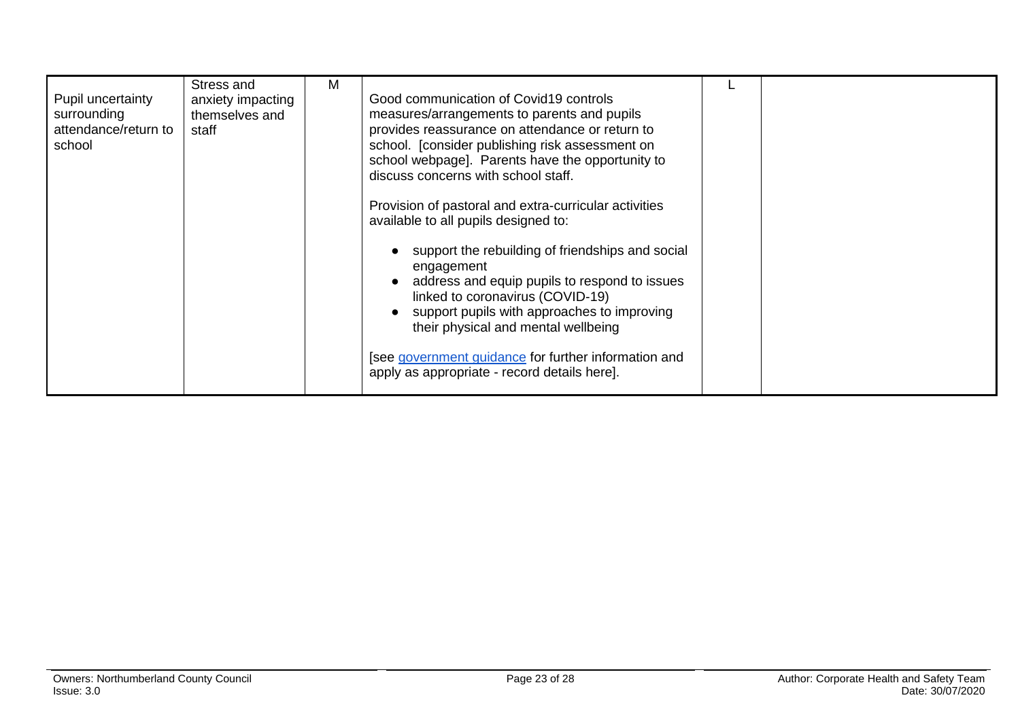<span id="page-22-0"></span>

| Pupil uncertainty<br>surrounding<br>attendance/return to<br>school | Stress and<br>anxiety impacting<br>themselves and<br>staff | M | Good communication of Covid19 controls<br>measures/arrangements to parents and pupils<br>provides reassurance on attendance or return to<br>school. [consider publishing risk assessment on<br>school webpage]. Parents have the opportunity to<br>discuss concerns with school staff.<br>Provision of pastoral and extra-curricular activities<br>available to all pupils designed to:<br>support the rebuilding of friendships and social<br>engagement<br>address and equip pupils to respond to issues<br>linked to coronavirus (COVID-19)<br>support pupils with approaches to improving<br>their physical and mental wellbeing |  |
|--------------------------------------------------------------------|------------------------------------------------------------|---|--------------------------------------------------------------------------------------------------------------------------------------------------------------------------------------------------------------------------------------------------------------------------------------------------------------------------------------------------------------------------------------------------------------------------------------------------------------------------------------------------------------------------------------------------------------------------------------------------------------------------------------|--|
|                                                                    |                                                            |   | [see government guidance for further information and<br>apply as appropriate - record details here].                                                                                                                                                                                                                                                                                                                                                                                                                                                                                                                                 |  |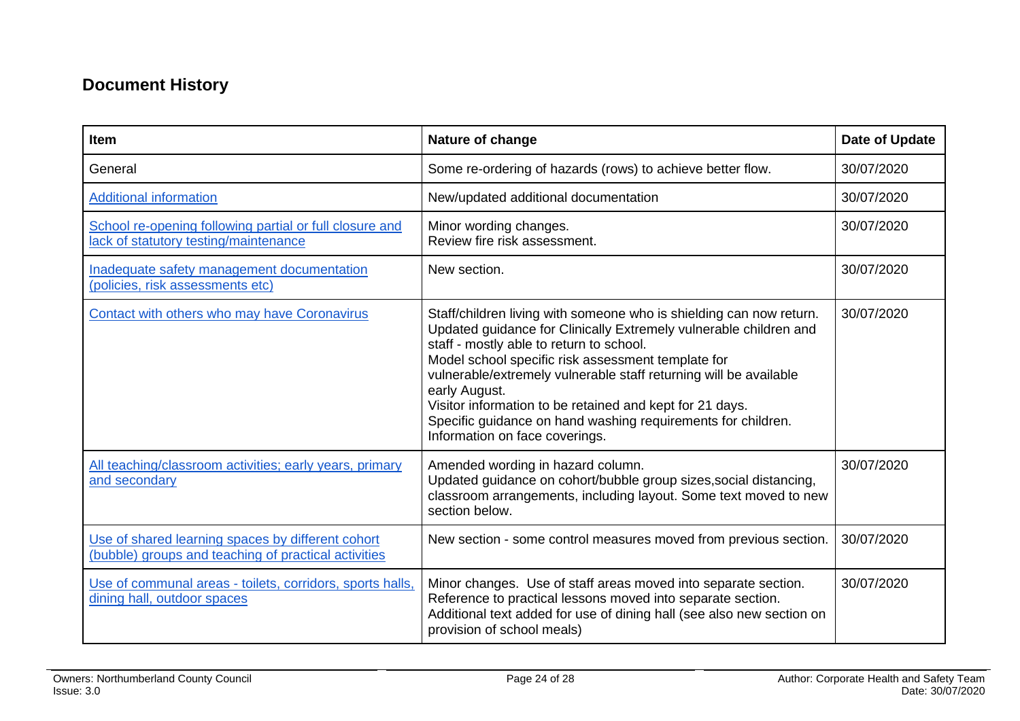## **Document History**

| <b>Item</b>                                                                                               | Nature of change                                                                                                                                                                                                                                                                                                                                                                                                                                                                               | Date of Update |
|-----------------------------------------------------------------------------------------------------------|------------------------------------------------------------------------------------------------------------------------------------------------------------------------------------------------------------------------------------------------------------------------------------------------------------------------------------------------------------------------------------------------------------------------------------------------------------------------------------------------|----------------|
| General                                                                                                   | Some re-ordering of hazards (rows) to achieve better flow.                                                                                                                                                                                                                                                                                                                                                                                                                                     | 30/07/2020     |
| <b>Additional information</b>                                                                             | New/updated additional documentation                                                                                                                                                                                                                                                                                                                                                                                                                                                           | 30/07/2020     |
| School re-opening following partial or full closure and<br>lack of statutory testing/maintenance          | Minor wording changes.<br>Review fire risk assessment.                                                                                                                                                                                                                                                                                                                                                                                                                                         | 30/07/2020     |
| Inadequate safety management documentation<br>(policies, risk assessments etc)                            | New section.                                                                                                                                                                                                                                                                                                                                                                                                                                                                                   | 30/07/2020     |
| Contact with others who may have Coronavirus                                                              | Staff/children living with someone who is shielding can now return.<br>Updated guidance for Clinically Extremely vulnerable children and<br>staff - mostly able to return to school.<br>Model school specific risk assessment template for<br>vulnerable/extremely vulnerable staff returning will be available<br>early August.<br>Visitor information to be retained and kept for 21 days.<br>Specific guidance on hand washing requirements for children.<br>Information on face coverings. | 30/07/2020     |
| All teaching/classroom activities; early years, primary<br>and secondary                                  | Amended wording in hazard column.<br>Updated guidance on cohort/bubble group sizes, social distancing,<br>classroom arrangements, including layout. Some text moved to new<br>section below.                                                                                                                                                                                                                                                                                                   | 30/07/2020     |
| Use of shared learning spaces by different cohort<br>(bubble) groups and teaching of practical activities | New section - some control measures moved from previous section.                                                                                                                                                                                                                                                                                                                                                                                                                               | 30/07/2020     |
| Use of communal areas - toilets, corridors, sports halls,<br>dining hall, outdoor spaces                  | Minor changes. Use of staff areas moved into separate section.<br>Reference to practical lessons moved into separate section.<br>Additional text added for use of dining hall (see also new section on<br>provision of school meals)                                                                                                                                                                                                                                                           | 30/07/2020     |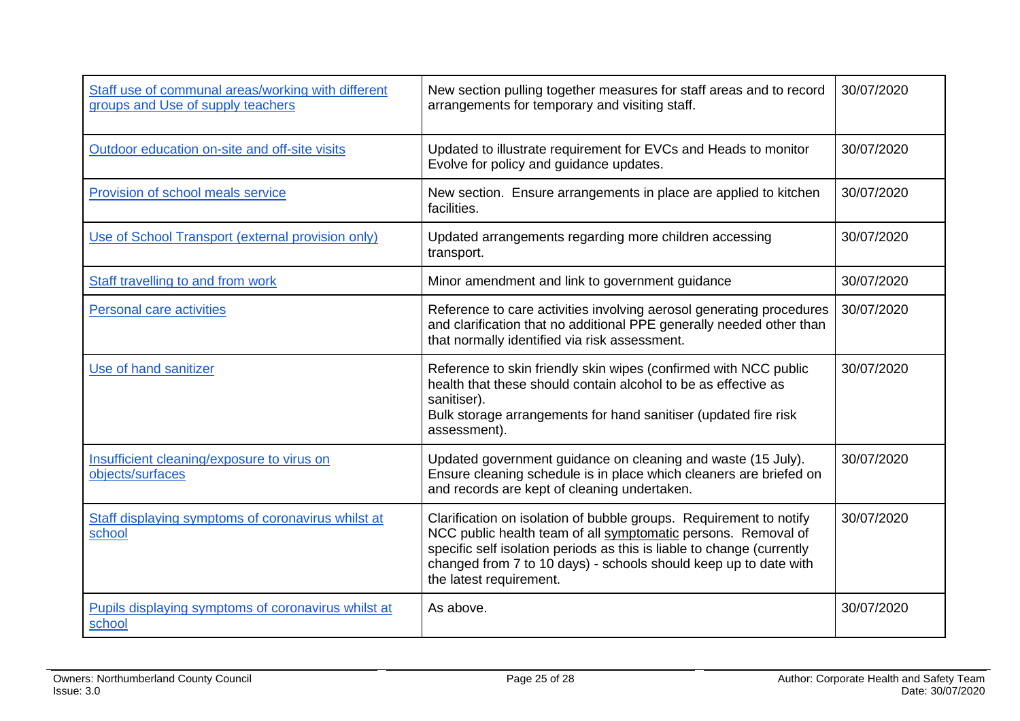| Staff use of communal areas/working with different<br>groups and Use of supply teachers | New section pulling together measures for staff areas and to record<br>arrangements for temporary and visiting staff.                                                                                                                                                                                        | 30/07/2020 |
|-----------------------------------------------------------------------------------------|--------------------------------------------------------------------------------------------------------------------------------------------------------------------------------------------------------------------------------------------------------------------------------------------------------------|------------|
| Outdoor education on-site and off-site visits                                           | Updated to illustrate requirement for EVCs and Heads to monitor<br>Evolve for policy and guidance updates.                                                                                                                                                                                                   | 30/07/2020 |
| Provision of school meals service                                                       | New section. Ensure arrangements in place are applied to kitchen<br>facilities.                                                                                                                                                                                                                              | 30/07/2020 |
| Use of School Transport (external provision only)                                       | Updated arrangements regarding more children accessing<br>transport.                                                                                                                                                                                                                                         | 30/07/2020 |
| Staff travelling to and from work                                                       | Minor amendment and link to government guidance                                                                                                                                                                                                                                                              | 30/07/2020 |
| <b>Personal care activities</b>                                                         | Reference to care activities involving aerosol generating procedures<br>and clarification that no additional PPE generally needed other than<br>that normally identified via risk assessment.                                                                                                                | 30/07/2020 |
| Use of hand sanitizer                                                                   | Reference to skin friendly skin wipes (confirmed with NCC public<br>health that these should contain alcohol to be as effective as<br>sanitiser).<br>Bulk storage arrangements for hand sanitiser (updated fire risk<br>assessment).                                                                         | 30/07/2020 |
| Insufficient cleaning/exposure to virus on<br>objects/surfaces                          | Updated government guidance on cleaning and waste (15 July).<br>Ensure cleaning schedule is in place which cleaners are briefed on<br>and records are kept of cleaning undertaken.                                                                                                                           | 30/07/2020 |
| Staff displaying symptoms of coronavirus whilst at<br>school                            | Clarification on isolation of bubble groups. Requirement to notify<br>NCC public health team of all symptomatic persons. Removal of<br>specific self isolation periods as this is liable to change (currently<br>changed from 7 to 10 days) - schools should keep up to date with<br>the latest requirement. | 30/07/2020 |
| Pupils displaying symptoms of coronavirus whilst at<br>school                           | As above.                                                                                                                                                                                                                                                                                                    | 30/07/2020 |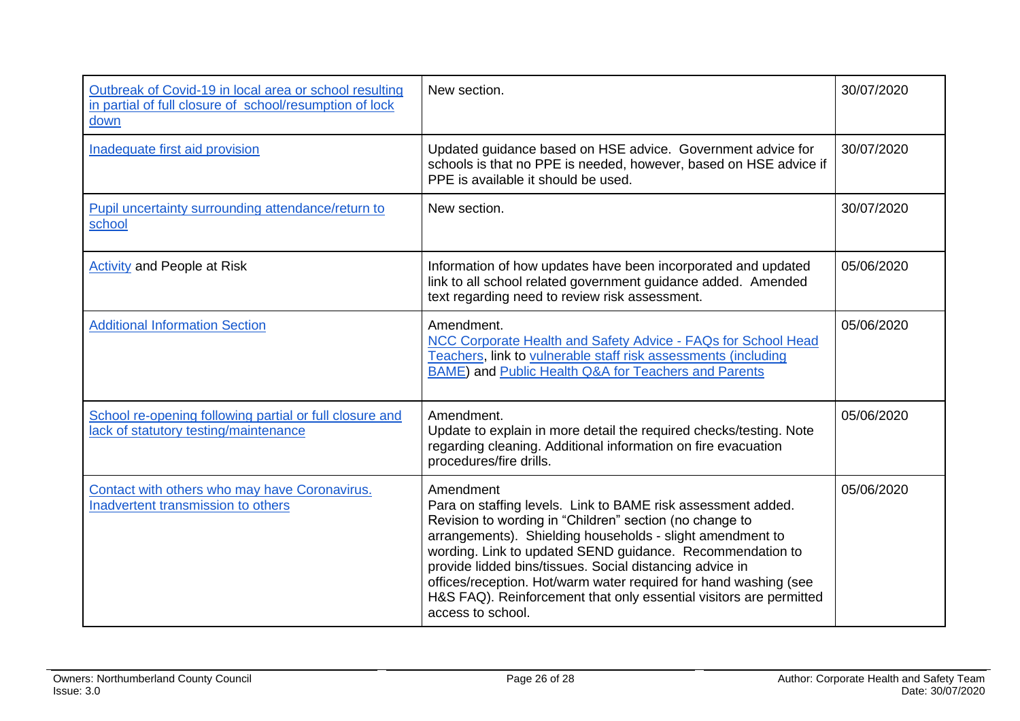| Outbreak of Covid-19 in local area or school resulting<br>in partial of full closure of school/resumption of lock<br>down | New section.                                                                                                                                                                                                                                                                                                                                                                                                                                                                              | 30/07/2020 |
|---------------------------------------------------------------------------------------------------------------------------|-------------------------------------------------------------------------------------------------------------------------------------------------------------------------------------------------------------------------------------------------------------------------------------------------------------------------------------------------------------------------------------------------------------------------------------------------------------------------------------------|------------|
| Inadequate first aid provision                                                                                            | Updated guidance based on HSE advice. Government advice for<br>schools is that no PPE is needed, however, based on HSE advice if<br>PPE is available it should be used.                                                                                                                                                                                                                                                                                                                   | 30/07/2020 |
| Pupil uncertainty surrounding attendance/return to<br>school                                                              | New section.                                                                                                                                                                                                                                                                                                                                                                                                                                                                              | 30/07/2020 |
| <b>Activity and People at Risk</b>                                                                                        | Information of how updates have been incorporated and updated<br>link to all school related government guidance added. Amended<br>text regarding need to review risk assessment.                                                                                                                                                                                                                                                                                                          | 05/06/2020 |
| <b>Additional Information Section</b>                                                                                     | Amendment.<br>NCC Corporate Health and Safety Advice - FAQs for School Head<br>Teachers, link to vulnerable staff risk assessments (including<br><b>BAME)</b> and <b>Public Health Q&amp;A for Teachers and Parents</b>                                                                                                                                                                                                                                                                   | 05/06/2020 |
| School re-opening following partial or full closure and<br>lack of statutory testing/maintenance                          | Amendment.<br>Update to explain in more detail the required checks/testing. Note<br>regarding cleaning. Additional information on fire evacuation<br>procedures/fire drills.                                                                                                                                                                                                                                                                                                              | 05/06/2020 |
| Contact with others who may have Coronavirus.<br>Inadvertent transmission to others                                       | Amendment<br>Para on staffing levels. Link to BAME risk assessment added.<br>Revision to wording in "Children" section (no change to<br>arrangements). Shielding households - slight amendment to<br>wording. Link to updated SEND guidance. Recommendation to<br>provide lidded bins/tissues. Social distancing advice in<br>offices/reception. Hot/warm water required for hand washing (see<br>H&S FAQ). Reinforcement that only essential visitors are permitted<br>access to school. | 05/06/2020 |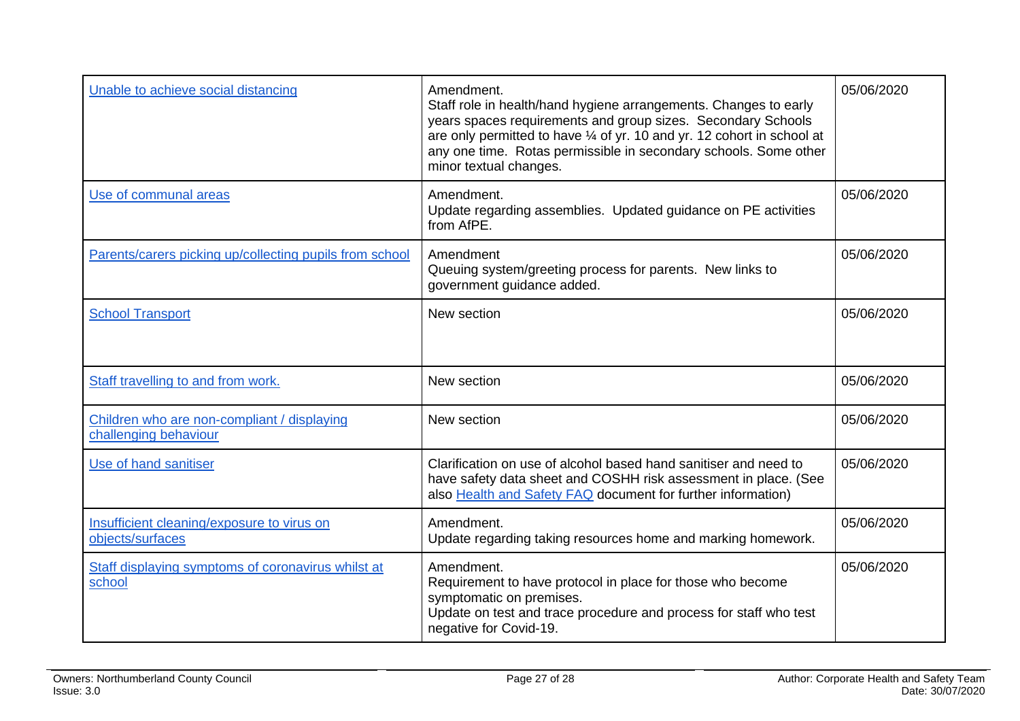| Unable to achieve social distancing                                  | Amendment.<br>Staff role in health/hand hygiene arrangements. Changes to early<br>years spaces requirements and group sizes. Secondary Schools<br>are only permitted to have 1/4 of yr. 10 and yr. 12 cohort in school at<br>any one time. Rotas permissible in secondary schools. Some other<br>minor textual changes. | 05/06/2020 |
|----------------------------------------------------------------------|-------------------------------------------------------------------------------------------------------------------------------------------------------------------------------------------------------------------------------------------------------------------------------------------------------------------------|------------|
| Use of communal areas                                                | Amendment.<br>Update regarding assemblies. Updated guidance on PE activities<br>from AfPE.                                                                                                                                                                                                                              | 05/06/2020 |
| Parents/carers picking up/collecting pupils from school              | Amendment<br>Queuing system/greeting process for parents. New links to<br>government guidance added.                                                                                                                                                                                                                    | 05/06/2020 |
| <b>School Transport</b>                                              | New section                                                                                                                                                                                                                                                                                                             | 05/06/2020 |
| Staff travelling to and from work.                                   | New section                                                                                                                                                                                                                                                                                                             | 05/06/2020 |
| Children who are non-compliant / displaying<br>challenging behaviour | New section                                                                                                                                                                                                                                                                                                             | 05/06/2020 |
| Use of hand sanitiser                                                | Clarification on use of alcohol based hand sanitiser and need to<br>have safety data sheet and COSHH risk assessment in place. (See<br>also Health and Safety FAQ document for further information)                                                                                                                     | 05/06/2020 |
| Insufficient cleaning/exposure to virus on<br>objects/surfaces       | Amendment.<br>Update regarding taking resources home and marking homework.                                                                                                                                                                                                                                              | 05/06/2020 |
| Staff displaying symptoms of coronavirus whilst at<br>school         | Amendment.<br>Requirement to have protocol in place for those who become<br>symptomatic on premises.<br>Update on test and trace procedure and process for staff who test<br>negative for Covid-19.                                                                                                                     | 05/06/2020 |